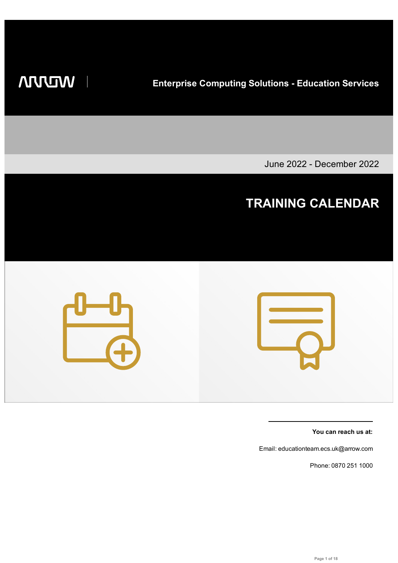**WILLIAM** 

**Enterprise Computing Solutions - Education Services**

June 2022 - December 2022

## **TRAINING CALENDAR**



**You can reach us at:**

Email: educationteam.ecs.uk@arrow.com

Phone: 0870 251 1000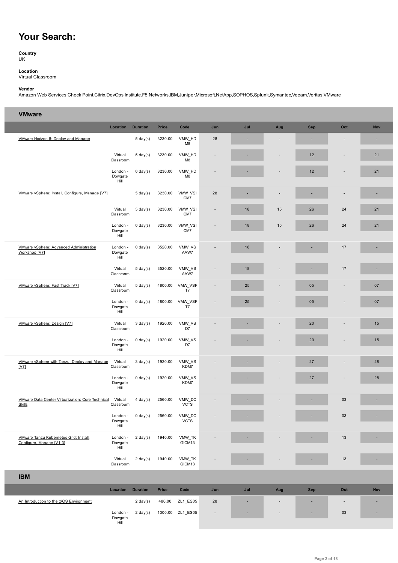## **Your Search:**

**Country** UK

**Location** Virtual Classroom

## **Vendor**

Amazon Web Services,Check Point,Citrix,DevOps Institute,F5 Networks,IBM,Juniper,Microsoft,NetApp,SOPHOS,Splunk,Symantec,Veeam,Veritas,VMware

| <b>VMware</b>                                                      |                             |                    |              |                          |              |     |                          |            |                                 |            |
|--------------------------------------------------------------------|-----------------------------|--------------------|--------------|--------------------------|--------------|-----|--------------------------|------------|---------------------------------|------------|
|                                                                    | Location                    | <b>Duration</b>    | <b>Price</b> | Code                     | Jun          | Jul | Aug                      | <b>Sep</b> | Oct                             | <b>Nov</b> |
| VMware Horizon 8: Deploy and Manage                                |                             | $5 \text{ day}(s)$ | 3230.00      | VMW HD<br>M8             | 28           |     |                          |            | $\overline{\phantom{a}}$        | ٠          |
|                                                                    | Virtual<br>Classroom        | $5 \text{ day}(s)$ | 3230.00      | VMW HD<br>M <sub>8</sub> |              |     |                          | 12         |                                 | 21         |
|                                                                    | London -<br>Dowgate<br>Hill | $0 \text{ day}(s)$ | 3230.00      | VMW HD<br>M <sub>8</sub> |              |     |                          | 12         |                                 | 21         |
| VMware vSphere: Install, Configure, Manage [V7]                    |                             | $5 \text{ day}(s)$ | 3230.00      | VMW_VSI<br>CM7           | 28           |     |                          |            | $\overline{\phantom{a}}$        | ٠          |
|                                                                    | Virtual<br>Classroom        | $5 \text{ day}(s)$ | 3230.00      | VMW_VSI<br>CM7           |              | 18  | 15                       | 26         | 24                              | 21         |
|                                                                    | London -<br>Dowgate<br>Hill | $0 \text{ day}(s)$ | 3230.00      | VMW_VSI<br>CM7           |              | 18  | 15                       | 26         | 24                              | 21         |
| VMware vSphere: Advanced Administration<br>Workshop [V7]           | London -<br>Dowgate<br>Hill | $0 \text{ day}(s)$ | 3520.00      | VMW_VS<br>AAW7           |              | 18  |                          |            | 17                              | ٠          |
|                                                                    | Virtual<br>Classroom        | $5 \text{ day}(s)$ | 3520.00      | VMW VS<br>AAW7           |              | 18  |                          |            | 17                              | ×,         |
| VMware vSphere: Fast Track [V7]                                    | Virtual<br>Classroom        | $5 \text{ day}(s)$ | 4800.00      | VMW_VSF<br>T7            |              | 25  |                          | 05         | $\centering \label{eq:reduced}$ | 07         |
|                                                                    | London -<br>Dowgate<br>Hill | $0 \text{ day}(s)$ | 4800.00      | VMW_VSF<br>T7            |              | 25  |                          | 05         |                                 | 07         |
| VMware vSphere: Design [V7]                                        | Virtual<br>Classroom        | $3 \text{ day}(s)$ | 1920.00      | VMW_VS<br>D7             |              |     |                          | 20         |                                 | 15         |
|                                                                    | London -<br>Dowgate<br>Hill | $0 \text{ day}(s)$ | 1920.00      | VMW_VS<br>D7             |              |     |                          | 20         |                                 | 15         |
| VMware vSphere with Tanzu: Deploy and Manage<br>[ <sub>Y</sub> ]   | Virtual<br>Classroom        | $3 \text{ day}(s)$ | 1920.00      | VMW_VS<br>KDM7           |              |     |                          | 27         |                                 | 28         |
|                                                                    | London -<br>Dowgate<br>Hill | $0 \text{ day}(s)$ | 1920.00      | VMW VS<br>KDM7           |              |     |                          | 27         |                                 | 28         |
| VMware Data Center Virtualization: Core Technical<br><b>Skills</b> | Virtual<br>Classroom        | $4 \text{ day}(s)$ | 2560.00      | VMW_DC<br><b>VCTS</b>    |              |     |                          |            | 03                              | ٠          |
|                                                                    | London -<br>Dowgate<br>Hill | $0 \text{ day}(s)$ | 2560.00      | VMW_DC<br><b>VCTS</b>    |              |     |                          |            | 03                              |            |
| VMware Tanzu Kubernetes Grid: Install,<br>Configure, Manage [V1.3] | London -<br>Dowgate<br>Hill | $2 \text{ day}(s)$ | 1940.00      | VMW_TK<br>GICM13         |              |     |                          |            | 13                              |            |
|                                                                    | Virtual<br>Classroom        | $2 \text{ day}(s)$ | 1940.00      | VMW_TK<br>GICM13         |              |     |                          |            | 13                              |            |
| <b>IBM</b>                                                         |                             |                    |              |                          |              |     |                          |            |                                 |            |
|                                                                    | Location                    | <b>Duration</b>    | Price        | Code                     | Jun          | Jul | Aug                      | Sep        | Oct                             | <b>Nov</b> |
| An Introduction to the z/OS Environment                            |                             | $2 \text{ day}(s)$ | 480.00       | ZL1_ES05                 | 28           | ٠   | $\overline{\phantom{a}}$ | ٠          | $\overline{\phantom{a}}$        | ×,         |
|                                                                    | London -<br>Dowgate<br>Hill | $2 \text{ day}(s)$ | 1300.00      | ZL1_ES05                 | $\centerdot$ |     |                          |            | 03                              |            |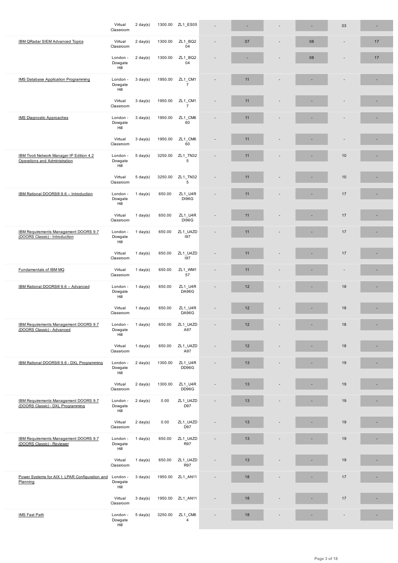| IBM QRadar SIEM Advanced Topics                                            | Virtual<br>Classroom        | $2 \text{ day}(s)$ | 1300.00 | ZL1_BQ2<br>04             |                          | 07 | 08 |    | 17 |
|----------------------------------------------------------------------------|-----------------------------|--------------------|---------|---------------------------|--------------------------|----|----|----|----|
|                                                                            | London -<br>Dowgate<br>Hill | $2 \text{ day}(s)$ | 1300.00 | ZL1 BQ2<br>04             |                          |    | 08 |    | 17 |
| <b>IMS Database Application Programming</b>                                | London -<br>Dowgate<br>Hill | $3 \text{ day}(s)$ | 1950.00 | ZL1_CM1<br>$\overline{7}$ |                          | 11 |    |    |    |
|                                                                            | Virtual<br>Classroom        | $3 \text{ day}(s)$ | 1950.00 | ZL1_CM1<br>$\overline{7}$ |                          | 11 |    |    |    |
| <b>IMS Diagnostic Approaches</b>                                           | London -<br>Dowgate<br>Hill | $3 \text{ day}(s)$ | 1950.00 | ZL1 CM6<br>60             |                          | 11 |    |    | ٠  |
|                                                                            | Virtual<br>Classroom        | $3 \text{ day}(s)$ | 1950.00 | ZL1 CM6<br>60             | $\overline{a}$           | 11 |    |    |    |
| IBM Tivoli Network Manager IP Edition 4.2<br>Operations and Administration | London -<br>Dowgate<br>Hill | $5 \text{ day}(s)$ | 3250.00 | ZL1 TN32<br>5             |                          | 11 |    | 10 |    |
|                                                                            | Virtual<br>Classroom        | $5 \text{ day}(s)$ | 3250.00 | ZL1_TN32<br>5             | $\overline{a}$           | 11 |    | 10 |    |
| IBM Rational DOORS® 9.6 - Introduction                                     | London -<br>Dowgate<br>Hill | $1$ day(s)         | 650.00  | ZL1_U4R<br><b>DI96G</b>   | ÷                        | 11 |    | 17 | ×  |
|                                                                            | Virtual<br>Classroom        | 1 day(s)           | 650.00  | ZL1_U4R<br><b>DI96G</b>   |                          | 11 |    | 17 |    |
| IBM Requirements Management DOORS 9.7<br>(DOORS Classic) - Introduction    | London -<br>Dowgate<br>Hill | $1$ day(s)         | 650.00  | ZL1 U4ZD<br>197           |                          | 11 |    | 17 |    |
|                                                                            | Virtual<br>Classroom        | $1$ day(s)         | 650.00  | ZL1_U4ZD<br>197           |                          | 11 |    | 17 |    |
| Fundamentals of IBM MQ                                                     | Virtual<br>Classroom        | $1$ day(s)         | 650.00  | ZL1_WM1<br>57             | $\overline{a}$           | 11 |    |    | ×  |
| IBM Rational DOORS® 9.6 - Advanced                                         | London -<br>Dowgate<br>Hill | 1 day $(s)$        | 650.00  | ZL1_U4R<br><b>DA96G</b>   | ٠                        | 12 |    | 18 | ×  |
|                                                                            | Virtual<br>Classroom        | 1 day $(s)$        | 650.00  | ZL1_U4R<br><b>DA96G</b>   | $\overline{\phantom{a}}$ | 12 |    | 18 | ٠  |
| IBM Requirements Management DOORS 9.7<br>(DOORS Classic) - Advanced        | London -<br>Dowgate<br>Hill | $1$ day(s)         | 650.00  | ZL1_U4ZD<br>A97           |                          | 12 |    | 18 | ٠  |
|                                                                            | Virtual<br>Classroom        | 1 day(s)           | 650.00  | ZL1_U4ZD<br>A97           |                          | 12 |    | 18 | ×, |
| IBM Rational DOORS® 9.6 - DXL Programming                                  | London -<br>Dowgate<br>Hill | $2 \text{ day}(s)$ | 1300.00 | ZL1_U4R<br>DD96G          |                          | 13 |    | 19 | ٠  |
|                                                                            | Virtual<br>Classroom        | $2 \text{ day}(s)$ | 1300.00 | ZL1_U4R<br>DD96G          | $\overline{a}$           | 13 |    | 19 |    |
| IBM Requirements Management DOORS 9.7<br>(DOORS Classic) - DXL Programming | London -<br>Dowgate<br>Hill | $2 \text{ day}(s)$ | 0.00    | ZL1_U4ZD<br>D97           |                          | 13 |    | 19 |    |
|                                                                            | Virtual<br>Classroom        | $2 \text{ day}(s)$ | 0.00    | ZL1 U4ZD<br>D97           |                          | 13 |    | 19 |    |
| IBM Requirements Management DOORS 9.7<br>(DOORS Classic) - Reviewer        | London -<br>Dowgate<br>Hill | $1$ day(s)         | 650.00  | ZL1_U4ZD<br><b>R97</b>    |                          | 13 |    | 19 |    |
|                                                                            | Virtual<br>Classroom        | $1$ day(s)         | 650.00  | ZL1 U4ZD<br>R97           |                          | 13 |    | 19 |    |
| Power Systems for AIX I: LPAR Configuration and<br>Planning                | London -<br>Dowgate<br>Hill | $3 \text{ day}(s)$ | 1950.00 | ZL1_AN11                  |                          | 18 |    | 17 |    |
|                                                                            | Virtual<br>Classroom        | $3 \text{ day}(s)$ | 1950.00 | ZL1_AN11                  | $\overline{a}$           | 18 |    | 17 | ×, |
| <b>IMS Fast Path</b>                                                       | London -<br>Dowgate<br>Hill | $5 \text{ day}(s)$ | 3250.00 | ZL1_CM6<br>$\overline{4}$ |                          | 18 |    |    | ٠  |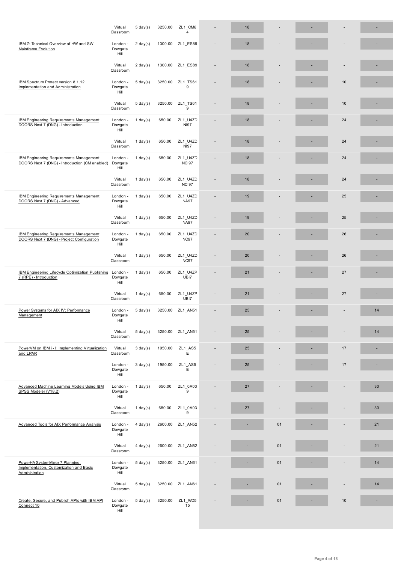| IBM Z: Technical Overview of HW and SW<br><b>Mainframe Evolution</b>                             | London -<br>Dowgate<br>Hill | $2 \text{ day}(s)$ |         | 1300.00 ZL1_ES89        | 18 |    |    |    |
|--------------------------------------------------------------------------------------------------|-----------------------------|--------------------|---------|-------------------------|----|----|----|----|
|                                                                                                  | Virtual<br>Classroom        | $2 \text{ day}(s)$ |         | 1300.00 ZL1 ES89        | 18 |    |    |    |
| IBM Spectrum Protect version 8.1.12<br>Implementation and Administration                         | London -<br>Dowgate<br>Hill | $5 \text{ day}(s)$ | 3250.00 | ZL1_TS61<br>9           | 18 |    | 10 |    |
|                                                                                                  | Virtual<br>Classroom        | $5 \text{ day}(s)$ | 3250.00 | ZL1_TS61<br>9           | 18 |    | 10 |    |
| <b>IBM Engineering Requirements Management</b><br>DOORS Next 7 (DNG) - Introduction              | London -<br>Dowgate<br>Hill | $1$ day(s)         | 650.00  | ZL1_U4ZD<br><b>NI97</b> | 18 |    | 24 |    |
|                                                                                                  | Virtual<br>Classroom        | $1$ day(s)         | 650.00  | ZL1_U4ZD<br><b>NI97</b> | 18 |    | 24 | ٠  |
| <b>IBM Engineering Requirements Management</b><br>DOORS Next 7 (DNG) - Introduction (CM enabled) | London -<br>Dowgate<br>Hill | $1$ day(s)         | 650.00  | ZL1_U4ZD<br>NCI97       | 18 |    | 24 |    |
|                                                                                                  | Virtual<br>Classroom        | 1 day $(s)$        | 650.00  | ZL1_U4ZD<br>NCI97       | 18 |    | 24 |    |
| <b>IBM Engineering Requirements Management</b><br>DOORS Next 7 (DNG) - Advanced                  | London -<br>Dowgate<br>Hill | $1$ day(s)         | 650.00  | ZL1_U4ZD<br><b>NA97</b> | 19 |    | 25 |    |
|                                                                                                  | Virtual<br>Classroom        | 1 day $(s)$        | 650.00  | ZL1_U4ZD<br><b>NA97</b> | 19 |    | 25 |    |
| <b>IBM Engineering Requirements Management</b><br>DOORS Next 7 (DNG) - Project Configuration     | London -<br>Dowgate<br>Hill | 1 day $(s)$        | 650.00  | ZL1_U4ZD<br>NC97        | 20 |    | 26 |    |
|                                                                                                  | Virtual<br>Classroom        | 1 day $(s)$        | 650.00  | ZL1_U4ZD<br><b>NC97</b> | 20 |    | 26 |    |
| IBM Engineering Lifecycle Optimization Publishing<br>7 (RPE) - Introduction                      | London -<br>Dowgate<br>Hill | $1$ day(s)         | 650.00  | ZL1_U4ZP<br>UBI7        | 21 |    | 27 |    |
|                                                                                                  | Virtual<br>Classroom        | $1$ day(s)         | 650.00  | ZL1_U4ZP<br>UBI7        | 21 |    | 27 | ×, |
| Power Systems for AIX IV: Performance<br>Management                                              | London -<br>Dowgate<br>Hill | $5 \text{ day}(s)$ | 3250.00 | ZL1_AN51                | 25 |    |    | 14 |
|                                                                                                  | Virtual<br>Classroom        | $5 \text{ day}(s)$ |         | 3250.00 ZL1 AN51        | 25 |    |    | 14 |
| PowerVM on IBM i - I: Implementing Virtualization<br>and LPAR                                    | Virtual<br>Classroom        | $3 \text{ day}(s)$ | 1950.00 | ZL1_AS5<br>$\mathsf E$  | 25 |    | 17 |    |
|                                                                                                  | London -<br>Dowgate<br>Hill | $3 \text{ day}(s)$ | 1950.00 | ZL1_AS5<br>$\mathsf E$  | 25 |    | 17 | ٠  |
| Advanced Machine Learning Models Using IBM<br>SPSS Modeler (V18.2)                               | London -<br>Dowgate<br>Hill | $1$ day(s)         | 650.00  | ZL1 0A03<br>9           | 27 |    |    | 30 |
|                                                                                                  | Virtual<br>Classroom        | $1$ day(s)         | 650.00  | ZL1 0A03<br>9           | 27 |    |    | 30 |
| Advanced Tools for AIX Performance Analysis                                                      | London -<br>Dowgate<br>Hill | $4 \text{ day}(s)$ | 2600.00 | ZL1_AN52                |    | 01 |    | 21 |
|                                                                                                  | Virtual<br>Classroom        | $4$ day(s)         | 2600.00 | ZL1_AN52                |    | 01 |    | 21 |
| PowerHA SystemMirror 7 Planning,<br>Implementation, Customization and Basic<br>Administration    | London -<br>Dowgate<br>Hill | $5 \text{ day}(s)$ | 3250.00 | ZL1 AN61                |    | 01 |    | 14 |
|                                                                                                  | Virtual<br>Classroom        | $5 \text{ day}(s)$ | 3250.00 | ZL1 AN61                |    | 01 |    | 14 |
| Create, Secure, and Publish APIs with IBM API<br>Connect 10                                      | London -<br>Dowgate<br>Hill | $5 \text{ day}(s)$ | 3250.00 | ZL1_WD5<br>15           |    | 01 | 10 | ×, |
|                                                                                                  |                             |                    |         |                         |    |    |    |    |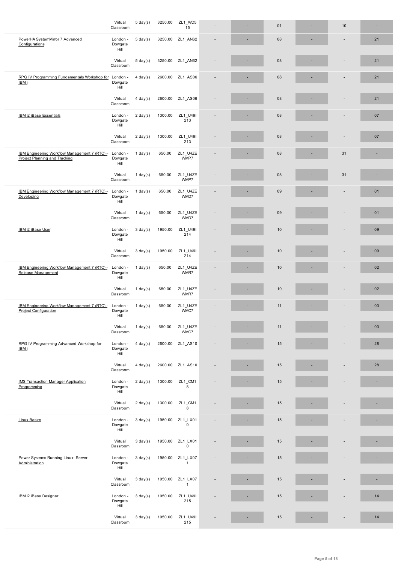| PowerHA SystemMirror 7 Advanced<br>Configurations                              | London -<br>Dowgate<br>Hill | $5 \text{ day}(s)$ | 3250.00 | ZL1_AN62                 |  | 08 |                                 | 21 |
|--------------------------------------------------------------------------------|-----------------------------|--------------------|---------|--------------------------|--|----|---------------------------------|----|
|                                                                                | Virtual<br>Classroom        | $5 \text{ day}(s)$ | 3250.00 | ZL1_AN62                 |  | 08 |                                 | 21 |
| RPG IV Programming Fundamentals Workshop for London -<br>IBM i                 | Dowgate<br>Hill             | $4$ day(s)         | 2600.00 | ZL1_AS06                 |  | 08 | ٠                               | 21 |
|                                                                                | Virtual<br>Classroom        | $4$ day(s)         | 2600.00 | ZL1 AS06                 |  | 08 |                                 | 21 |
| <b>IBM i2 iBase Essentials</b>                                                 | London -<br>Dowgate<br>Hill | $2 \text{ day}(s)$ | 1300.00 | ZL1_U49I<br>213          |  | 08 |                                 | 07 |
|                                                                                | Virtual<br>Classroom        | $2 \text{ day}(s)$ | 1300.00 | ZL1_U49I<br>213          |  | 08 |                                 | 07 |
| IBM Engineering Workflow Management 7 (RTC) -<br>Project Planning and Tracking | London -<br>Dowgate<br>Hill | $1$ day(s)         | 650.00  | ZL1_U4ZE<br>WMP7         |  | 08 | 31                              | ٠  |
|                                                                                | Virtual<br>Classroom        | $1$ day(s)         | 650.00  | ZL1_U4ZE<br>WMP7         |  | 08 | 31                              | ×. |
| IBM Engineering Workflow Management 7 (RTC) -<br>Developing                    | London -<br>Dowgate<br>Hill | $1$ day(s)         | 650.00  | ZL1_U4ZE<br>WMD7         |  | 09 | $\centering \label{eq:reduced}$ | 01 |
|                                                                                | Virtual<br>Classroom        | $1$ day(s)         | 650.00  | ZL1_U4ZE<br>WMD7         |  | 09 |                                 | 01 |
| IBM i2 iBase User                                                              | London -<br>Dowgate<br>Hill | $3$ day(s)         | 1950.00 | ZL1_U49I<br>214          |  | 10 |                                 | 09 |
|                                                                                | Virtual<br>Classroom        | $3 \text{ day}(s)$ | 1950.00 | ZL1_U49I<br>214          |  | 10 |                                 | 09 |
| IBM Engineering Workflow Management 7 (RTC) -<br>Release Management            | London -<br>Dowgate<br>Hill | $1$ day(s)         | 650.00  | ZL1_U4ZE<br>WMR7         |  | 10 |                                 | 02 |
|                                                                                | Virtual<br>Classroom        | $1$ day(s)         | 650.00  | ZL1_U4ZE<br>WMR7         |  | 10 |                                 | 02 |
| IBM Engineering Workflow Management 7 (RTC) -<br>Project Configuration         | London -<br>Dowgate<br>Hill | $1$ day(s)         | 650.00  | ZL1_U4ZE<br>WMC7         |  | 11 |                                 | 03 |
|                                                                                | Virtual<br>Classroom        | $1$ day(s)         | 650.00  | ZL1_U4ZE<br>WMC7         |  | 11 |                                 | 03 |
| RPG IV Programming Advanced Workshop for<br>IBM i                              | London -<br>Dowgate<br>Hill | $4 \text{ day}(s)$ | 2600.00 | ZL1 AS10                 |  | 15 |                                 | 28 |
|                                                                                | Virtual<br>Classroom        | $4$ day(s)         | 2600.00 | ZL1_AS10                 |  | 15 |                                 | 28 |
| <b>IMS Transaction Manager Application</b><br>Programming                      | London -<br>Dowgate<br>Hill | $2 \text{ day}(s)$ | 1300.00 | ZL1_CM1<br>8             |  | 15 |                                 |    |
|                                                                                | Virtual<br>Classroom        | $2 \text{ day}(s)$ | 1300.00 | ZL1_CM1<br>8             |  | 15 |                                 |    |
| <b>Linux Basics</b>                                                            | London -<br>Dowgate<br>Hill | $3 \text{ day}(s)$ | 1950.00 | ZL1_LX01<br>$\mathsf 0$  |  | 15 |                                 |    |
|                                                                                | Virtual<br>Classroom        | $3 \text{ day}(s)$ | 1950.00 | ZL1_LX01<br>$\mathbf 0$  |  | 15 |                                 |    |
| Power Systems Running Linux: Server<br>Administration                          | London -<br>Dowgate<br>Hill | $3 \text{ day}(s)$ | 1950.00 | ZL1_LX07<br>$\mathbf{1}$ |  | 15 |                                 | ×  |
|                                                                                | Virtual<br>Classroom        | $3 \text{ day}(s)$ | 1950.00 | ZL1_LX07<br>$\mathbf{1}$ |  | 15 |                                 |    |
| IBM i2 iBase Designer                                                          | London -<br>Dowgate<br>Hill | $3 \text{ day}(s)$ | 1950.00 | ZL1_U49I<br>215          |  | 15 |                                 | 14 |
|                                                                                | Virtual<br>Classroom        | $3 \text{ day}(s)$ | 1950.00 | ZL1_U49I<br>215          |  | 15 |                                 | 14 |
|                                                                                |                             |                    |         |                          |  |    |                                 |    |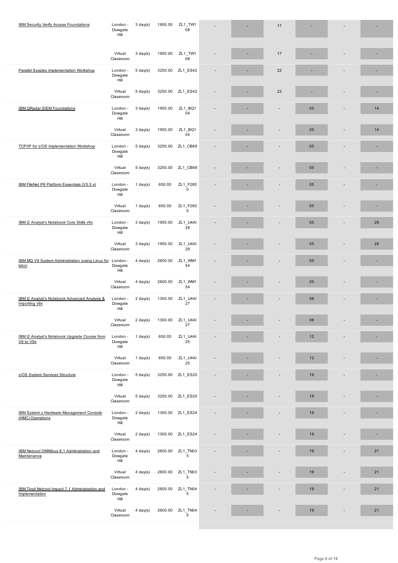|                                                                    | Hill                        |                    |         |                         |  |                          |    |                              |    |
|--------------------------------------------------------------------|-----------------------------|--------------------|---------|-------------------------|--|--------------------------|----|------------------------------|----|
|                                                                    | Virtual<br>Classroom        | $3 \text{ day}(s)$ | 1950.00 | ZL1_TW1<br>08           |  | 17                       |    |                              |    |
| Parallel Sysplex Implementation Workshop                           | London -<br>Dowgate<br>Hill | $5 \text{ day}(s)$ | 3250.00 | ZL1_ES42                |  | 22                       |    |                              |    |
|                                                                    | Virtual<br>Classroom        | $5 \text{ day}(s)$ | 3250.00 | ZL1_ES42                |  | 22                       |    |                              |    |
| IBM QRadar SIEM Foundations                                        | London -<br>Dowgate<br>Hill | $3 \text{ day}(s)$ | 1950.00 | ZL1 BQ1<br>04           |  | $\overline{\phantom{a}}$ | 05 | $\overline{a}$               | 14 |
|                                                                    | Virtual<br>Classroom        | $3 \text{ day}(s)$ | 1950.00 | ZL1 BQ1<br>04           |  |                          | 05 |                              | 14 |
| TCP/IP for z/OS Implementation Workshop                            | London -<br>Dowgate<br>Hill | $5 \text{ day}(s)$ | 3250.00 | ZL1_CB69                |  |                          | 05 |                              |    |
|                                                                    | Virtual<br>Classroom        | $5 \text{ day}(s)$ | 3250.00 | ZL1_CB69                |  |                          | 05 |                              |    |
| IBM FileNet P8 Platform Essentials (V5.5.x)                        | London -<br>Dowgate<br>Hill | $1$ day $(s)$      | 650.00  | ZL1 F280<br>$\mathbf 0$ |  |                          | 05 |                              |    |
|                                                                    | Virtual<br>Classroom        | 1 day $(s)$        | 650.00  | ZL1 F280<br>$\mathsf 0$ |  |                          | 05 |                              |    |
| IBM i2 Analyst's Notebook Core Skills v9x                          | London -<br>Dowgate<br>Hill | $3 \text{ day}(s)$ | 1950.00 | ZL1 U4AI<br>28          |  |                          | 05 |                              | 28 |
|                                                                    | Virtual<br>Classroom        | $3 \text{ day}(s)$ | 1950.00 | ZL1 U4AI<br>28          |  |                          | 05 |                              | 28 |
| IBM MQ V9 System Administration (using Linux for London -<br>labs) | Dowgate<br>Hill             | $4$ day(s)         | 2600.00 | ZL1 WM1<br>54           |  |                          | 05 |                              |    |
|                                                                    | Virtual<br>Classroom        | $4$ day $(s)$      | 2600.00 | ZL1 WM1<br>54           |  |                          | 05 |                              |    |
| IBM i2 Analyst's Notebook Advanced Analysis &<br>Importing v9x     | London -<br>Dowgate<br>Hill | $2 \text{ day}(s)$ | 1300.00 | ZL1 U4AI<br>27          |  |                          | 08 |                              |    |
|                                                                    | Virtual<br>Classroom        | $2 \text{ day}(s)$ | 1300.00 | ZL1 U4AI<br>27          |  |                          | 08 |                              |    |
| IBM i2 Analyst's Notebook Upgrade Course from<br>V8 to V9x         | London -<br>Dowgate<br>Hill | $1$ day(s)         | 650.00  | ZL1_U4AI<br>25          |  |                          | 12 | $\qquad \qquad \blacksquare$ |    |
|                                                                    | Virtual<br>Classroom        | $1$ day(s)         | 650.00  | ZL1 U4AI<br>25          |  |                          | 12 |                              |    |
| z/OS System Services Structure                                     | London -<br>Dowgate<br>Hill | $5 \text{ day}(s)$ | 3250.00 | ZL1_ES20                |  |                          | 19 |                              |    |
|                                                                    | Virtual<br>Classroom        | $5 \text{ day}(s)$ |         | 3250.00 ZL1_ES20        |  |                          | 19 |                              |    |
| IBM System z Hardware Management Console<br>(HMC) Operations       | London -<br>Dowgate<br>Hill | $2 \text{ day}(s)$ |         | 1300.00 ZL1 ES24        |  |                          | 19 |                              |    |
|                                                                    | Virtual<br>Classroom        | $2 \text{ day}(s)$ | 1300.00 | ZL1_ES24                |  |                          | 19 |                              |    |
| IBM Netcool OMNIbus 8.1 Administration and<br>Maintenance          | London -<br>Dowgate<br>Hill | $4 \text{ day}(s)$ | 2600.00 | ZL1_TN03<br>$\,$ 5 $\,$ |  |                          | 19 | $\overline{a}$               | 21 |
|                                                                    | Virtual<br>Classroom        | $4$ day(s)         | 2600.00 | ZL1_TN03<br>5           |  |                          | 19 |                              | 21 |
| IBM Tivoli Netcool Impact 7.1 Administration and<br>Implementation | London -<br>Dowgate<br>Hill | $4$ day(s)         | 2600.00 | ZL1_TN04<br>5           |  |                          | 19 |                              | 21 |
|                                                                    | Virtual<br>Classroom        | $4 \text{ day}(s)$ | 2600.00 | ZL1_TN04<br>5           |  |                          | 19 |                              | 21 |
|                                                                    |                             |                    |         |                         |  |                          |    |                              |    |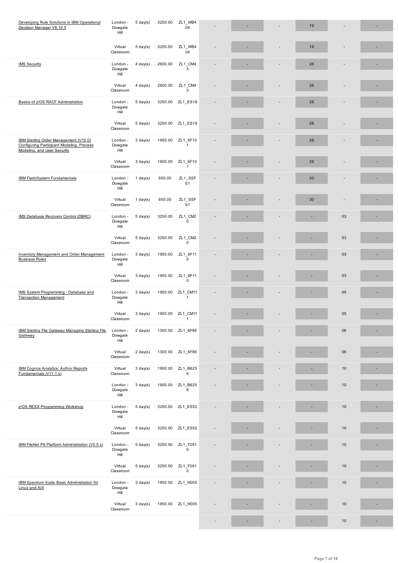|                                                                                                                   | Virtual<br>Classroom        | $5 \text{ day}(s)$ | 3250.00 | ZL1 WB4<br>04             |  | 19 |    | × |
|-------------------------------------------------------------------------------------------------------------------|-----------------------------|--------------------|---------|---------------------------|--|----|----|---|
| <b>IMS Security</b>                                                                                               | London -<br>Dowgate<br>Hill | $4$ day(s)         | 2600.00 | ZL1 CM4<br>3              |  | 26 |    | × |
|                                                                                                                   | Virtual<br>Classroom        | $4$ day(s)         | 2600.00 | ZL1_CM4<br>3              |  | 26 |    |   |
| Basics of z/OS RACF Administration                                                                                | London -<br>Dowgate<br>Hill | $5 \text{ day}(s)$ | 3250.00 | ZL1_ES19                  |  | 26 |    |   |
|                                                                                                                   | Virtual<br>Classroom        | $5 \text{ day}(s)$ | 3250.00 | ZL1_ES19                  |  | 26 |    |   |
| IBM Sterling Order Management (V10.0)<br>Configuring Participant Modeling, Process<br>Modeling, and User Security | London -<br>Dowgate<br>Hill | $3$ day(s)         | 1950.00 | ZL1_6F10<br>$\mathbf{1}$  |  | 26 |    | ۰ |
|                                                                                                                   | Virtual<br>Classroom        | $3 \text{ day}(s)$ | 1950.00 | ZL1 6F10<br>$\mathbf{1}$  |  | 26 |    |   |
| <b>IBM FlashSystem Fundamentals</b>                                                                               | London -<br>Dowgate<br>Hill | $1$ day(s)         | 650.00  | ZL1 SSF<br>S <sub>1</sub> |  | 30 |    |   |
|                                                                                                                   | Virtual<br>Classroom        | $1$ day(s)         | 650.00  | ZL1_SSF<br>S <sub>1</sub> |  | 30 |    | × |
| IMS Database Recovery Control (DBRC)                                                                              | London -<br>Dowgate<br>Hill | $5 \text{ day}(s)$ | 3250.00 | ZL1 CM2<br>$\mathbf 0$    |  |    | 03 | ٠ |
|                                                                                                                   | Virtual<br>Classroom        | $5 \text{ day}(s)$ | 3250.00 | ZL1 CM2<br>$\mathbf 0$    |  |    | 03 |   |
| <b>Inventory Management and Order Management</b><br><b>Business Rules</b>                                         | London -<br>Dowgate<br>Hill | $3$ day(s)         | 1950.00 | ZL1_6F11<br>$\mathbf 0$   |  |    | 03 |   |
|                                                                                                                   | Virtual<br>Classroom        | $3$ day(s)         | 1950.00 | ZL1 6F11<br>$\mathsf 0$   |  |    | 03 | ٠ |
| IMS System Programming - Database and<br><b>Transaction Management</b>                                            | London -<br>Dowgate<br>Hill | $3$ day(s)         | 1950.00 | ZL1 CM11<br>$\mathbf{1}$  |  |    | 05 | ٠ |
|                                                                                                                   | Virtual<br>Classroom        | $3 \text{ day}(s)$ | 1950.00 | ZL1 CM11<br>$\mathbf{1}$  |  |    | 05 |   |
| <b>IBM Sterling File Gateway Managing Sterling File</b><br>Gateway                                                | London -<br>Dowgate<br>Hill | $2 \text{ day}(s)$ | 1300.00 | ZL1_6F86                  |  |    | 06 | ٠ |
|                                                                                                                   | Virtual<br>Classroom        | $2 \text{ day}(s)$ | 1300.00 | ZL1_6F86                  |  |    | 06 |   |
| IBM Cognos Analytics: Author Reports<br>Fundamentals (V11.1.x)                                                    | Virtual<br>Classroom        | $3 \text{ day}(s)$ | 1950.00 | ZL1_B625<br>8             |  |    | 10 |   |
|                                                                                                                   | London -<br>Dowgate<br>Hill | $3$ day(s)         | 1950.00 | ZL1 B625<br>8             |  |    | 10 |   |
| z/OS REXX Programming Workshop                                                                                    | London -<br>Dowgate<br>Hill | $5 \text{ day}(s)$ |         | 3250.00 ZL1_ES52          |  |    | 10 |   |
|                                                                                                                   | Virtual<br>Classroom        | $5 \text{ day}(s)$ | 3250.00 | ZL1_ES52                  |  |    | 10 |   |
| IBM FileNet P8 Platform Administration (V5.5.x)                                                                   | London -<br>Dowgate<br>Hill | $5 \text{ day}(s)$ | 3250.00 | ZL1_F281<br>$\mathbf 0$   |  |    | 10 | ٠ |
|                                                                                                                   | Virtual<br>Classroom        | $5 \text{ day}(s)$ | 3250.00 | ZL1 F281<br>$\mathbf 0$   |  |    | 10 |   |
| IBM Spectrum Scale Basic Administration for<br>Linux and AIX                                                      | London -<br>Dowgate<br>Hill | $3 \text{ day}(s)$ | 1950.00 | ZL1_H005                  |  |    | 10 |   |
|                                                                                                                   | Virtual<br>Classroom        | $3 \text{ day}(s)$ | 1950.00 | ZL1_H005                  |  |    | 10 |   |
|                                                                                                                   |                             |                    |         |                           |  |    | 10 | ٠ |

. ....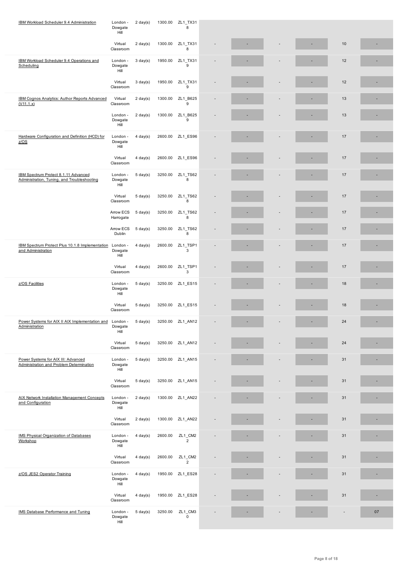|                                                                                     | Virtual<br>Classroom        | $2 \text{ day}(s)$ | 1300.00 | ZL1_TX31<br>8             |  |  | 10 |    |
|-------------------------------------------------------------------------------------|-----------------------------|--------------------|---------|---------------------------|--|--|----|----|
| IBM Workload Scheduler 9.4 Operations and<br>Scheduling                             | London -<br>Dowgate<br>Hill | $3 \text{ day}(s)$ | 1950.00 | ZL1_TX31<br>9             |  |  | 12 | ٠  |
|                                                                                     | Virtual<br>Classroom        | $3 \text{ day}(s)$ | 1950.00 | ZL1_TX31<br>9             |  |  | 12 |    |
| IBM Cognos Analytics: Author Reports Advanced<br>(V11.1.x)                          | Virtual<br>Classroom        | $2 \text{ day}(s)$ | 1300.00 | ZL1 B625<br>9             |  |  | 13 | ٠  |
|                                                                                     | London -<br>Dowgate<br>Hill | $2 \text{ day}(s)$ | 1300.00 | ZL1 B625<br>9             |  |  | 13 |    |
| Hardware Configuration and Definition (HCD) for<br>Z/OS                             | London -<br>Dowgate<br>Hill | $4$ day(s)         |         | 2600.00 ZL1_ES96          |  |  | 17 | ٠  |
|                                                                                     | Virtual<br>Classroom        | $4 \text{ day}(s)$ | 2600.00 | ZL1 ES96                  |  |  | 17 |    |
| IBM Spectrum Protect 8.1.11 Advanced<br>Administration, Tuning, and Troubleshooting | London -<br>Dowgate<br>Hill | $5 \text{ day}(s)$ | 3250.00 | ZL1_TS62<br>8             |  |  | 17 |    |
|                                                                                     | Virtual<br>Classroom        | $5 \text{ day}(s)$ | 3250.00 | ZL1_TS62<br>8             |  |  | 17 |    |
|                                                                                     | Arrow ECS<br>Harrogate      | $5 \text{ day}(s)$ | 3250.00 | ZL1_TS62<br>8             |  |  | 17 |    |
|                                                                                     | Arrow ECS<br>Dublin         | $5 \text{ day}(s)$ | 3250.00 | ZL1_TS62<br>8             |  |  | 17 |    |
| IBM Spectrum Protect Plus 10.1.8 Implementation London -<br>and Administration      | Dowgate<br>Hill             | $4$ day(s)         | 2600.00 | ZL1_TSP1<br>3             |  |  | 17 |    |
|                                                                                     | Virtual<br>Classroom        | $4 \text{ day}(s)$ | 2600.00 | ZL1_TSP1<br>3             |  |  | 17 |    |
| z/OS Facilities                                                                     | London -<br>Dowgate<br>Hill | $5 \text{ day}(s)$ |         | 3250.00 ZL1_ES15          |  |  | 18 |    |
|                                                                                     | Virtual<br>Classroom        | $5 \text{ day}(s)$ |         | 3250.00 ZL1_ES15          |  |  | 18 |    |
| Power Systems for AIX II AIX Implementation and<br>Administration                   | London -<br>Dowgate<br>Hill | $5 \text{ day}(s)$ |         | 3250.00 ZL1_AN12          |  |  | 24 | ×, |
|                                                                                     | Virtual<br>Classroom        | $5 \text{ day}(s)$ |         | 3250.00 ZL1_AN12          |  |  | 24 |    |
| Power Systems for AIX III: Advanced<br>Administration and Problem Determination     | London -<br>Dowgate<br>Hill | $5 \text{ day}(s)$ | 3250.00 | ZL1_AN15                  |  |  | 31 |    |
|                                                                                     | Virtual<br>Classroom        | $5 \text{ day}(s)$ |         | 3250.00 ZL1_AN15          |  |  | 31 |    |
| AIX Network Installation Management Concepts<br>and Configuration                   | London -<br>Dowgate<br>Hill | $2 \text{ day}(s)$ |         | 1300.00 ZL1_AN22          |  |  | 31 | ٠  |
|                                                                                     | Virtual<br>Classroom        | $2 \text{ day}(s)$ |         | 1300.00 ZL1_AN22          |  |  | 31 |    |
| <b>IMS Physical Organization of Databases</b><br>Workshop                           | London -<br>Dowgate<br>Hill | $4$ day(s)         | 2600.00 | ZL1_CM2<br>$\overline{2}$ |  |  | 31 |    |
|                                                                                     | Virtual<br>Classroom        | $4 \text{ day}(s)$ | 2600.00 | ZL1_CM2<br>$\overline{2}$ |  |  | 31 |    |
| z/OS JES2 Operator Training                                                         | London -<br>Dowgate<br>Hill | $4$ day(s)         |         | 1950.00 ZL1_ES28          |  |  | 31 | ×, |
|                                                                                     | Virtual<br>Classroom        | $4 \text{ day}(s)$ | 1950.00 | ZL1_ES28                  |  |  | 31 | Ē. |
| IMS Database Performance and Tuning                                                 | London -<br>Dowgate<br>Hill | $5 \text{ day}(s)$ | 3250.00 | ZL1_CM3<br>$\mathsf 0$    |  |  |    | 07 |
|                                                                                     |                             |                    |         |                           |  |  |    |    |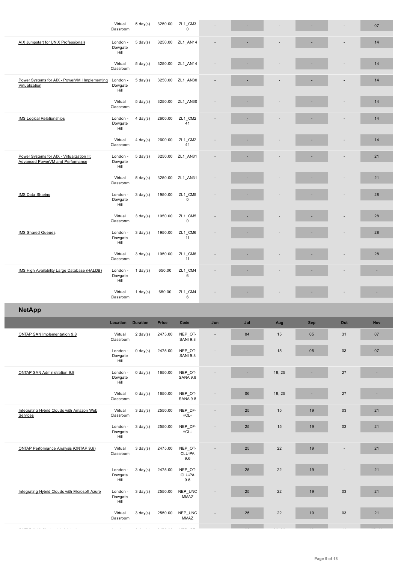| AIX Jumpstart for UNIX Professionals                                           | London -<br>Dowgate<br>Hill | $5 \text{ day}(s)$ | 3250.00 | ZL1_AN14                   |     |     |        |            |     | 14  |
|--------------------------------------------------------------------------------|-----------------------------|--------------------|---------|----------------------------|-----|-----|--------|------------|-----|-----|
|                                                                                | Virtual<br>Classroom        | $5 \text{ day}(s)$ | 3250.00 | ZL1_AN14                   |     |     |        |            |     | 14  |
| Power Systems for AIX - PowerVM I Implementing<br>Virtualization               | London -<br>Dowgate<br>Hill | $5 \text{ day}(s)$ | 3250.00 | ZL1_AN30                   |     |     |        |            |     | 14  |
|                                                                                | Virtual<br>Classroom        | $5 \text{ day}(s)$ | 3250.00 | ZL1_AN30                   |     |     |        |            |     | 14  |
| <b>IMS Logical Relationships</b>                                               | London -<br>Dowgate<br>Hill | $4$ day(s)         | 2600.00 | ZL1_CM2<br>41              |     |     |        |            |     | 14  |
|                                                                                | Virtual<br>Classroom        | $4 \text{ day}(s)$ | 2600.00 | ZL1_CM2<br>41              |     |     |        |            |     | 14  |
| Power Systems for AIX - Virtualization II:<br>Advanced PowerVM and Performance | London -<br>Dowgate<br>Hill | $5 \text{ day}(s)$ | 3250.00 | ZL1_AN31                   |     |     |        |            |     | 21  |
|                                                                                | Virtual<br>Classroom        | $5 \text{ day}(s)$ | 3250.00 | ZL1_AN31                   |     |     |        |            |     | 21  |
| IMS Data Sharing                                                               | London -<br>Dowgate<br>Hill | $3 \text{ day}(s)$ | 1950.00 | ZL1_CM5<br>$\mathsf 0$     |     |     |        |            |     | 28  |
|                                                                                | Virtual<br>Classroom        | $3 \text{ day}(s)$ | 1950.00 | ZL1_CM5<br>$\mathbf 0$     |     |     |        |            |     | 28  |
| <b>IMS Shared Queues</b>                                                       | London -<br>Dowgate<br>Hill | $3 \text{ day}(s)$ | 1950.00 | ZL1_CM6<br>11              |     |     |        |            |     | 28  |
|                                                                                | Virtual<br>Classroom        | $3 \text{ day}(s)$ | 1950.00 | ZL1 CM6<br>11              |     |     |        |            |     | 28  |
| IMS High Availability Large Database (HALDB)                                   | London -<br>Dowgate<br>Hill | $1$ day(s)         | 650.00  | ZL1_CM4<br>6               |     |     |        |            |     |     |
|                                                                                |                             |                    |         |                            |     |     |        |            |     |     |
|                                                                                | Virtual<br>Classroom        | $1$ day(s)         | 650.00  | ZL1_CM4<br>6               |     |     |        |            |     |     |
| <b>NetApp</b>                                                                  |                             |                    |         |                            |     |     |        |            |     |     |
|                                                                                | Location                    | <b>Duration</b>    | Price   | Code                       | Jun | Jul | Aug    | <b>Sep</b> | Oct | Nov |
| ONTAP SAN Implementation 9.8                                                   | Virtual<br>Classroom        | $2 \text{ day}(s)$ | 2475.00 | NEP_OT-<br><b>SANI 9.8</b> |     | 04  | 15     | 05         | 31  | 07  |
|                                                                                | London -<br>Dowgate<br>Hill | $0 \text{ day}(s)$ | 2475.00 | NEP_OT-<br><b>SANI 9.8</b> |     |     | 15     | 05         | 03  | 07  |
| ONTAP SAN Administration 9.8                                                   | London -<br>Dowgate<br>Hill | $0 \text{ day}(s)$ | 1650.00 | NEP_OT-<br><b>SANA 9.8</b> |     | ٠   | 18, 25 |            | 27  |     |
|                                                                                | Virtual<br>Classroom        | $0$ day $(s)$      | 1650.00 | NEP_OT-<br><b>SANA 9.8</b> | ÷   | 06  | 18, 25 |            | 27  | ×.  |
| Integrating Hybrid Clouds with Amazon Web<br>Services                          | Virtual<br>Classroom        | $3 \text{ day}(s)$ | 2550.00 | NEP_DF-<br>HCL-I           |     | 25  | 15     | 19         | 03  | 21  |
|                                                                                | London -<br>Dowgate<br>Hill | $3 \text{ day}(s)$ | 2550.00 | NEP_DF-<br>HCL-I           |     | 25  | 15     | 19         | 03  | 21  |
| ONTAP Performance Analysis (ONTAP 9.6)                                         | Virtual<br>Classroom        | $3 \text{ day}(s)$ | 2475.00 | NEP_OT-<br>CLU-PA<br>9.6   |     | 25  | 22     | 19         |     | 21  |
|                                                                                | London -<br>Dowgate<br>Hill | $3 \text{ day}(s)$ | 2475.00 | NEP_OT-<br>CLU-PA<br>9.6   |     | 25  | 22     | 19         |     | 21  |
| Integrating Hybrid Clouds with Microsoft Azure                                 | London -<br>Dowgate<br>Hill | $3 \text{ day}(s)$ | 2550.00 | NEP_UNC<br><b>MMAZ</b>     |     | 25  | 22     | 19         | 03  | 21  |
|                                                                                | Virtual<br>Classroom        | $3 \text{ day}(s)$ | 2550.00 | NEP_UNC<br>MMAZ            |     | 25  | 22     | 19         | 03  | 21  |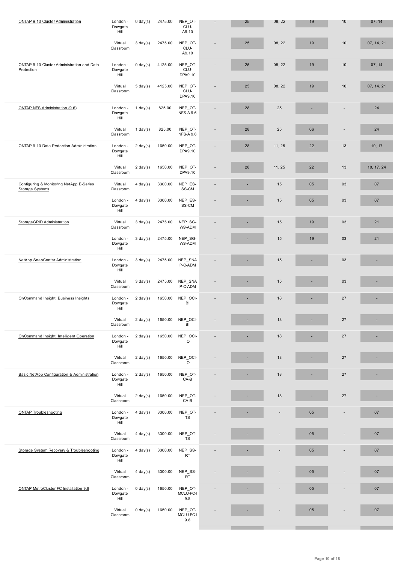|                                                                    | Virtual<br>Classroom        | $3$ day(s)         | 2475.00                   | NEP OT-<br>CLU-<br>A9.10    |                          | 25 | 08, 22 | 19 | 10                       | 07, 14, 21 |
|--------------------------------------------------------------------|-----------------------------|--------------------|---------------------------|-----------------------------|--------------------------|----|--------|----|--------------------------|------------|
| ONTAP 9.10 Cluster Administration and Data<br>Protection           | London -<br>Dowgate<br>Hill | $0 \text{ day}(s)$ | 4125.00                   | NEP_OT-<br>CLU-<br>DPA9.10  | $\overline{\phantom{a}}$ | 25 | 08, 22 | 19 | $10$                     | 07, 14     |
|                                                                    | Virtual<br>Classroom        | $5 \text{ day}(s)$ | 4125.00                   | NEP OT-<br>CLU-<br>DPA9.10  | $\overline{a}$           | 25 | 08, 22 | 19 | 10                       | 07, 14, 21 |
| ONTAP NFS Administration (9.6)                                     | London -<br>Dowgate<br>Hill | 1 day(s)           | 825.00                    | NEP_OT-<br><b>NFS-A 9.6</b> | $\overline{a}$           | 28 | 25     |    |                          | 24         |
|                                                                    | Virtual<br>Classroom        | $1$ day(s)         | 825.00                    | NEP OT-<br><b>NFS-A 9.6</b> | $\overline{a}$           | 28 | 25     | 06 | ÷                        | 24         |
| ONTAP 9.10 Data Protection Administration                          | London -<br>Dowgate<br>Hill | $2 \text{ day}(s)$ | 1650.00                   | NEP_OT-<br>DPA9.10          | $\overline{a}$           | 28 | 11, 25 | 22 | 13                       | 10, 17     |
|                                                                    | Virtual<br>Classroom        | $2 \text{ day}(s)$ | 1650.00                   | NEP_OT-<br>DPA9.10          | $\overline{\phantom{a}}$ | 28 | 11, 25 | 22 | 13                       | 10, 17, 24 |
| Configuring & Monitoring NetApp E-Series<br><b>Storage Systems</b> | Virtual<br>Classroom        | $4$ day(s)         | 3300.00                   | NEP_ES-<br>SS-CM            |                          | ×, | 15     | 05 | 03                       | 07         |
|                                                                    | London -<br>Dowgate<br>Hill | $4 \text{ day}(s)$ | 3300.00                   | NEP_ES-<br>SS-CM            |                          |    | 15     | 05 | 03                       | 07         |
| StorageGRID Administration                                         | Virtual<br>Classroom        | $3 \,$ day $(s)$   | 2475.00                   | NEP_SG-<br>WS-ADM           | $\overline{a}$           |    | 15     | 19 | 03                       | 21         |
|                                                                    | London -<br>Dowgate<br>Hill | $3$ day(s)         | 2475.00                   | NEP_SG-<br>WS-ADM           |                          | ٠  | 15     | 19 | 03                       | 21         |
| NetApp SnapCenter Administration                                   | London -<br>Dowgate<br>Hill | $3 \text{ day}(s)$ | 2475.00                   | NEP_SNA<br>P-C-ADM          |                          |    | 15     |    | 03                       |            |
|                                                                    | Virtual<br>Classroom        | $3 \text{ day}(s)$ | 2475.00                   | NEP_SNA<br>P-C-ADM          |                          |    | 15     |    | 03                       |            |
| OnCommand Insight: Business Insights                               | London -<br>Dowgate<br>Hill | $2 \text{ day}(s)$ | 1650.00                   | NEP_OCI-<br>BI              |                          |    | 18     |    | 27                       |            |
|                                                                    | Virtual<br>Classroom        | $2 \text{ day}(s)$ | 1650.00                   | NEP_OCI-<br>BI              |                          |    | 18     |    | 27                       |            |
| OnCommand Insight: Intelligent Operation                           | Dowgate<br>Hill             |                    | London - 2 day(s) 1650.00 | NEP OCI-<br>$\overline{10}$ |                          |    | 18     |    | 27                       |            |
|                                                                    | Virtual<br>Classroom        | $2 \text{ day}(s)$ | 1650.00                   | NEP_OCI-<br>$\overline{10}$ |                          |    | 18     |    | 27                       |            |
| Basic NetApp Configuration & Administration                        | London -<br>Dowgate<br>Hill | $2 \text{ day}(s)$ | 1650.00                   | NEP_OT-<br>$CA-B$           |                          |    | 18     |    | 27                       |            |
|                                                                    | Virtual<br>Classroom        | $2 \text{ day}(s)$ | 1650.00                   | NEP_OT-<br>$CA-B$           |                          |    | 18     |    | 27                       | ٠          |
| <b>ONTAP Troubleshooting</b>                                       | London -<br>Dowgate<br>Hill | $4$ day(s)         | 3300.00                   | NEP_OT-<br><b>TS</b>        |                          |    |        | 05 | $\overline{\phantom{a}}$ | 07         |
|                                                                    | Virtual<br>Classroom        | $4$ day(s)         | 3300.00                   | NEP_OT-<br><b>TS</b>        |                          |    |        | 05 |                          | 07         |
| Storage System Recovery & Troubleshooting                          | London -<br>Dowgate<br>Hill | $4$ day(s)         | 3300.00                   | NEP_SS-<br>RT               |                          |    |        | 05 |                          | 07         |
|                                                                    | Virtual<br>Classroom        | $4$ day(s)         | 3300.00                   | NEP_SS-<br><b>RT</b>        |                          |    |        | 05 |                          | 07         |
| ONTAP MetroCluster FC Installation 9.8                             | London -<br>Dowgate<br>Hill | $0$ day $(s)$      | 1650.00                   | NEP_OT-<br>MCLU-FC-I<br>9.8 |                          |    |        | 05 |                          | 07         |
|                                                                    | Virtual<br>Classroom        | $0 \text{ day}(s)$ | 1650.00                   | NEP_OT-<br>MCLU-FC-I<br>9.8 |                          |    |        | 05 |                          | 07         |
|                                                                    |                             |                    |                           |                             |                          |    |        |    |                          |            |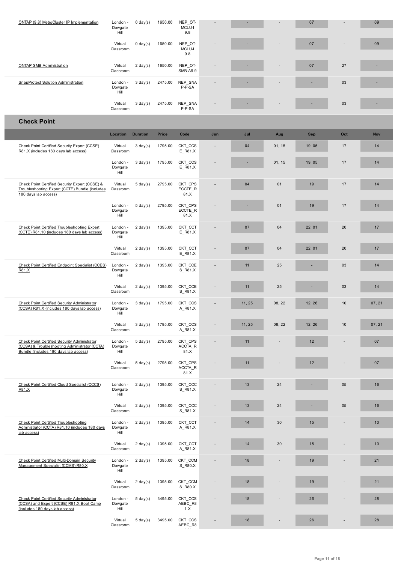|                                                                                                                                        | Virtual<br>Classroom        | $0 \text{ day}(s)$ | 1650.00      | NEP OT-<br>MCLU-I<br>9.8   |     |        |        | 07         |     | 09         |
|----------------------------------------------------------------------------------------------------------------------------------------|-----------------------------|--------------------|--------------|----------------------------|-----|--------|--------|------------|-----|------------|
| <b>ONTAP SMB Administration</b>                                                                                                        | Virtual<br>Classroom        | $2 \text{ day}(s)$ | 1650.00      | NEP_OT-<br>SMB-A9.9        |     |        |        | 07         | 27  |            |
| SnapProtect Solution Administration                                                                                                    | London -<br>Dowgate<br>Hill | $3 \text{ day}(s)$ | 2475.00      | NEP_SNA<br>P-P-SA          |     |        |        |            | 03  |            |
|                                                                                                                                        | Virtual<br>Classroom        | $3 \text{ day}(s)$ | 2475.00      | NEP_SNA<br>P-P-SA          |     |        |        |            | 03  |            |
| <b>Check Point</b>                                                                                                                     |                             |                    |              |                            |     |        |        |            |     |            |
|                                                                                                                                        | Location                    | <b>Duration</b>    | <b>Price</b> | Code                       | Jun | Jul    | Aug    | <b>Sep</b> | Oct | <b>Nov</b> |
| Check Point Certified Security Expert (CCSE)<br>R81.X (includes 180 days lab access)                                                   | Virtual<br>Classroom        | $3 \text{ day}(s)$ | 1795.00      | CKT CCS<br>E_R81.X         |     | 04     | 01, 15 | 19,05      | 17  | 14         |
|                                                                                                                                        | London -<br>Dowgate<br>Hill | $3 \text{ day}(s)$ | 1795.00      | CKT CCS<br>E_R81.X         |     | ×,     | 01, 15 | 19,05      | 17  | 14         |
| Check Point Certified Security Expert (CCSE) &<br>Troubleshooting Expert (CCTE) Bundle (includes<br>180 days lab access)               | Virtual<br>Classroom        | $5 \text{ day}(s)$ | 2795.00      | CKT_CPS<br>ECCTE_R<br>81.X |     | 04     | 01     | 19         | 17  | 14         |
|                                                                                                                                        | London -<br>Dowgate<br>Hill | $5 \text{ day}(s)$ | 2795.00      | CKT CPS<br>ECCTE_R<br>81.X |     |        | 01     | 19         | 17  | 14         |
| <b>Check Point Certified Troubleshooting Expert</b><br>(CCTE) R81.10 (includes 180 days lab access)                                    | London -<br>Dowgate<br>Hill | $2 \text{ day}(s)$ | 1395.00      | CKT_CCT<br>E_R81.X         |     | 07     | 04     | 22, 01     | 20  | 17         |
|                                                                                                                                        | Virtual<br>Classroom        | $2 \text{ day}(s)$ | 1395.00      | CKT CCT<br>E_R81.X         |     | 07     | 04     | 22, 01     | 20  | 17         |
| Check Point Certified Endpoint Specialist (CCES)<br>R81.X                                                                              | London -<br>Dowgate<br>Hill | $2 \text{ day}(s)$ | 1395.00      | CKT_CCE<br>S_R81.X         |     | 11     | 25     |            | 03  | 14         |
|                                                                                                                                        | Virtual<br>Classroom        | $2 \text{ day}(s)$ | 1395.00      | CKT CCE<br>S_R81.X         |     | 11     | 25     |            | 03  | 14         |
| <b>Check Point Certified Security Administrator</b><br>(CCSA) R81.X (includes 180 days lab access)                                     | London -<br>Dowgate<br>Hill | $3 \text{ day}(s)$ | 1795.00      | CKT_CCS<br>A_R81.X         |     | 11, 25 | 08, 22 | 12, 26     | 10  | 07, 21     |
|                                                                                                                                        | Virtual<br>Classroom        | $3 \text{ day}(s)$ | 1795.00      | CKT_CCS<br>A_R81.X         |     | 11, 25 | 08, 22 | 12, 26     | 10  | 07, 21     |
| Check Point Certified Security Administrator<br>(CCSA) & Troubleshooting Administrator (CCTA)<br>Bundle (includes 180 days lab access) | London -<br>Dowgate<br>Hill | $5 \text{ day}(s)$ | 2795.00      | CKT_CPS<br>ACCTA_R<br>81.X |     | 11     |        | 12         |     | 07         |
|                                                                                                                                        | Virtual<br>Classroom        | $5 \text{ day}(s)$ | 2795.00      | CKT CPS<br>ACCTA_R<br>81.X |     | 11     |        | 12         |     | 07         |
| Check Point Certified Cloud Specialist (CCCS)<br>R81.X                                                                                 | London -<br>Dowgate<br>Hill | $2 \text{ day}(s)$ | 1395.00      | CKT_CCC<br>S_R81.X         |     | 13     | 24     |            | 05  | 16         |
|                                                                                                                                        | Virtual<br>Classroom        | $2 \text{ day}(s)$ | 1395.00      | CKT_CCC<br>S_R81.X         |     | 13     | 24     |            | 05  | 16         |
| Check Point Certified Troubleshooting<br>Administrator (CCTA) R81.10 (includes 180 days<br>lab access)                                 | London -<br>Dowgate<br>Hill | $2 \text{ day}(s)$ | 1395.00      | CKT_CCT<br>A_R81.X         |     | 14     | 30     | 15         |     | 10         |
|                                                                                                                                        | Virtual<br>Classroom        | $2 \text{ day}(s)$ | 1395.00      | CKT_CCT<br>A_R81.X         |     | 14     | 30     | 15         |     | 10         |
| Check Point Certified Multi-Domain Security<br>Management Specialist (CCMS) R80.X                                                      | London -<br>Dowgate<br>Hill | $2 \text{ day}(s)$ | 1395.00      | CKT_CCM<br>S_R80.X         |     | 18     |        | 19         |     | 21         |
|                                                                                                                                        | Virtual<br>Classroom        | $2 \text{ day}(s)$ | 1395.00      | CKT_CCM<br>S_R80.X         |     | 18     |        | 19         |     | 21         |
| <b>Check Point Certified Security Administrator</b><br>(CCSA) and Expert (CCSE) R81.X Boot Camp<br>(includes 180 days lab access)      | London -<br>Dowgate<br>Hill | $5 \text{ day}(s)$ | 3495.00      | CKT CCS<br>AEBC_R8<br>1.X  |     | 18     |        | 26         |     | 28         |
|                                                                                                                                        | Virtual<br>Classroom        | $5 \text{ day}(s)$ | 3495.00      | CKT_CCS<br>AEBC_R8         |     | 18     |        | 26         |     | 28         |

Г

Ī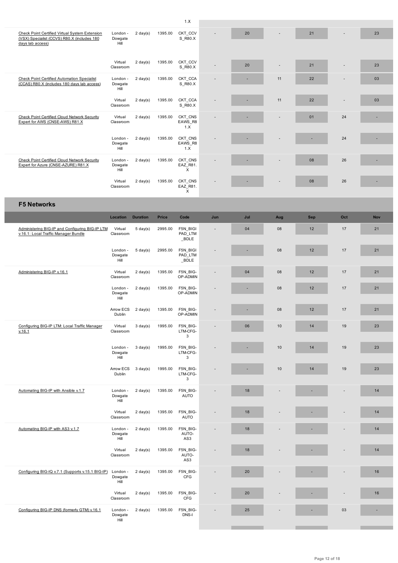| <b>OTIECK FOILL CERTIFY VIRUAL SYSTEM EXTERISION</b><br>(VSX) Specialist (CCVS) R80.X (includes 180<br>days lab access) | <b>Longon</b><br>Dowgate<br>Hill | z uay(s)           | 1999.UU | <u>UNT DOM</u><br>S_R80.X      |                          | ZU  |                          | $\mathbf{z}$ |     | 25         |
|-------------------------------------------------------------------------------------------------------------------------|----------------------------------|--------------------|---------|--------------------------------|--------------------------|-----|--------------------------|--------------|-----|------------|
|                                                                                                                         |                                  |                    |         |                                |                          |     |                          |              |     |            |
|                                                                                                                         | Virtual<br>Classroom             | $2 \text{ day}(s)$ | 1395.00 | CKT_CCV<br>S_R80.X             |                          | 20  | $\overline{\phantom{a}}$ | 21           |     | 23         |
| <b>Check Point Certified Automation Specialist</b><br>(CCAS) R80.X (includes 180 days lab access)                       | London -<br>Dowgate<br>Hill      | $2 \text{ day}(s)$ | 1395.00 | CKT_CCA<br>S_R80.X             |                          |     | 11                       | 22           |     | 03         |
|                                                                                                                         | Virtual<br>Classroom             | $2 \text{ day}(s)$ | 1395.00 | CKT_CCA<br>S_R80.X             |                          |     | 11                       | 22           |     | 03         |
| Check Point Certified Cloud Network Security<br>Expert for AWS (CNSE-AWS) R81.X                                         | Virtual<br>Classroom             | $2 \text{ day}(s)$ | 1395.00 | CKT CNS<br>EAWS_R8<br>1.X      |                          |     |                          | 01           | 24  |            |
|                                                                                                                         | London -<br>Dowgate<br>Hill      | $2 \text{ day}(s)$ | 1395.00 | CKT_CNS<br>EAWS_R8<br>1.X      |                          |     |                          |              | 24  |            |
| <b>Check Point Certified Cloud Network Security</b><br>Expert for Azure (CNSE-AZURE) R81.X                              | London -<br>Dowgate<br>Hill      | $2 \text{ day}(s)$ | 1395.00 | CKT CNS<br>EAZ_R81.<br>X       |                          |     |                          | 08           | 26  |            |
|                                                                                                                         | Virtual<br>Classroom             | $2 \text{ day}(s)$ | 1395.00 | CKT_CNS<br>EAZ_R81.<br>X       |                          |     |                          | 08           | 26  |            |
| <b>F5 Networks</b>                                                                                                      |                                  |                    |         |                                |                          |     |                          |              |     |            |
|                                                                                                                         | Location                         | <b>Duration</b>    | Price   | Code                           | Jun                      | Jul | Aug                      | <b>Sep</b>   | Oct | <b>Nov</b> |
| Administering BIG-IP and Configuring BIG-IP LTM<br>v.16.1: Local Traffic Manager Bundle                                 | Virtual<br>Classroom             | $5 \text{ day}(s)$ | 2995.00 | F5N_BIGI<br>PAD LTM<br>BDLE    | $\overline{\phantom{a}}$ | 04  | 08                       | 12           | 17  | 21         |
|                                                                                                                         | London -<br>Dowgate<br>Hill      | $5 \text{ day}(s)$ | 2995.00 | F5N BIGI<br>PAD LTM<br>$\_BDE$ |                          | ٠   | 08                       | 12           | 17  | 21         |
| Administering BIG-IP v.16.1                                                                                             | Virtual<br>Classroom             | $2 \text{ day}(s)$ | 1395.00 | F5N_BIG-<br>OP-ADMIN           |                          | 04  | 08                       | 12           | 17  | 21         |
|                                                                                                                         | London -<br>Dowgate<br>Hill      | $2 \text{ day}(s)$ | 1395.00 | F5N BIG-<br>OP-ADMIN           |                          |     | 08                       | 12           | 17  | 21         |
|                                                                                                                         | Arrow ECS<br>Dublin              | $2 \text{ day}(s)$ | 1395.00 | F5N BIG-<br>OP-ADMIN           |                          |     | 08                       | 12           | 17  | 21         |
| Configuring BIG-IP LTM: Local Traffic Manager<br>v.16.1                                                                 | Virtual<br>Classroom             | $3 \text{ day}(s)$ | 1995.00 | F5N_BIG-<br>LTM-CFG-<br>3      | $\overline{a}$           | 06  | 10                       | 14           | 19  | 23         |
|                                                                                                                         | London -<br>Dowgate<br>Hill      | $3 \text{ day}(s)$ | 1995.00 | F5N BIG-<br>LTM-CFG-<br>3      |                          |     | 10                       | 14           | 19  | 23         |
|                                                                                                                         | Arrow ECS<br>Dublin              | $3 \text{ day}(s)$ | 1995.00 | F5N BIG-<br>LTM-CFG-<br>3      |                          |     | 10                       | 14           | 19  | 23         |
| Automating BIG-IP with Ansible v.1.7                                                                                    | London -<br>Dowgate<br>Hill      | $2 \text{ day}(s)$ | 1395.00 | F5N BIG-<br><b>AUTO</b>        | $\overline{a}$           | 18  |                          |              |     | 14         |
|                                                                                                                         | Virtual<br>Classroom             | $2 \text{ day}(s)$ | 1395.00 | F5N_BIG-<br><b>AUTO</b>        | $\overline{a}$           | 18  |                          |              |     | 14         |
| Automating BIG-IP with AS3 v.1.7                                                                                        | London -<br>Dowgate<br>Hill      | $2 \text{ day}(s)$ | 1395.00 | F5N BIG-<br>AUTO-<br>AS3       |                          | 18  |                          |              |     | 14         |
|                                                                                                                         | Virtual<br>Classroom             | $2 \text{ day}(s)$ | 1395.00 | F5N BIG-<br>AUTO-<br>AS3       |                          | 18  |                          |              |     | 14         |
| Configuring BIG-IQ v.7.1 (Supports v.15.1 BIG-IP)                                                                       | London -<br>Dowgate<br>Hill      | $2 \text{ day}(s)$ | 1395.00 | F5N BIG-<br><b>CFG</b>         |                          | 20  |                          |              |     | 16         |
|                                                                                                                         | Virtual<br>Classroom             | $2 \text{ day}(s)$ | 1395.00 | F5N BIG-<br><b>CFG</b>         |                          | 20  |                          |              |     | 16         |
| Configuring BIG-IP DNS (formerly GTM) v.16.1                                                                            | London -<br>Dowgate<br>Hill      | $2 \text{ day}(s)$ | 1395.00 | F5N BIG-<br>DNS-I              |                          | 25  |                          |              | 03  | ٠          |
|                                                                                                                         |                                  |                    |         |                                |                          |     |                          |              |     |            |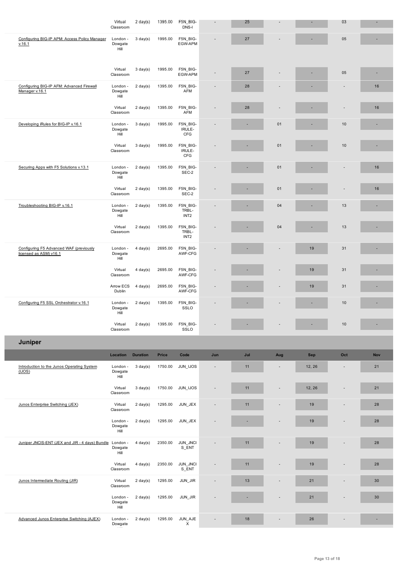| Configuring BIG-IP APM: Access Policy Manager                     | London -                    | $3 \text{ day}(s)$ | 1995.00 | F5N_BIG-                                |                          | 27  |                          |        | 05                              |     |
|-------------------------------------------------------------------|-----------------------------|--------------------|---------|-----------------------------------------|--------------------------|-----|--------------------------|--------|---------------------------------|-----|
| v.16.1                                                            | Dowgate<br>Hill             |                    |         | EGW-APM                                 |                          |     |                          |        |                                 |     |
|                                                                   | Virtual<br>Classroom        | $3 \text{ day}(s)$ | 1995.00 | F5N_BIG-<br>EGW-APM                     |                          | 27  |                          |        | 05                              |     |
| Configuring BIG-IP AFM: Advanced Firewall<br>Manager v.16.1       | London -<br>Dowgate<br>Hill | $2 \text{ day}(s)$ | 1395.00 | F5N_BIG-<br>AFM                         | $\overline{\phantom{a}}$ | 28  |                          |        | $\overline{a}$                  | 16  |
|                                                                   | Virtual<br>Classroom        | $2 \text{ day}(s)$ | 1395.00 | F5N BIG-<br>AFM                         |                          | 28  |                          |        | ÷,                              | 16  |
| Developing iRules for BIG-IP v.16.1                               | London -<br>Dowgate<br>Hill | $3 \text{ day}(s)$ | 1995.00 | F5N_BIG-<br>IRULE-<br><b>CFG</b>        |                          |     | 01                       |        | 10                              |     |
|                                                                   | Virtual<br>Classroom        | $3 \text{ day}(s)$ | 1995.00 | F5N BIG-<br>IRULE-<br>CFG               |                          |     | 01                       |        | 10                              |     |
| Securing Apps with F5 Solutions v.13.1                            | London -<br>Dowgate<br>Hill | $2 \text{ day}(s)$ | 1395.00 | F5N_BIG-<br>SEC-2                       |                          | ٠   | 01                       |        | ٠                               | 16  |
|                                                                   | Virtual<br>Classroom        | $2 \text{ day}(s)$ | 1395.00 | F5N_BIG-<br>SEC-2                       |                          |     | 01                       |        |                                 | 16  |
| Troubleshooting BIG-IP v.16.1                                     | London -<br>Dowgate<br>Hill | $2 \text{ day}(s)$ | 1395.00 | F5N_BIG-<br>TRBL-<br>INT <sub>2</sub>   |                          |     | 04                       |        | 13                              |     |
|                                                                   | Virtual<br>Classroom        | $2 \text{ day}(s)$ | 1395.00 | F5N_BIG-<br>TRBL-<br>INT <sub>2</sub>   |                          |     | 04                       |        | 13                              |     |
| Configuring F5 Advanced WAF (previously<br>licensed as ASM) v16.1 | London -<br>Dowgate<br>Hill | $4 \text{ day}(s)$ | 2695.00 | F5N_BIG-<br>AWF-CFG                     |                          |     |                          | 19     | 31                              |     |
|                                                                   | Virtual<br>Classroom        | $4 \text{ day}(s)$ | 2695.00 | F5N BIG-<br>AWF-CFG                     |                          |     |                          | 19     | 31                              |     |
|                                                                   | Arrow ECS<br>Dublin         | $4 \text{ day}(s)$ | 2695.00 | F5N_BIG-<br>AWF-CFG                     |                          |     |                          | 19     | 31                              |     |
|                                                                   |                             |                    |         |                                         |                          |     |                          |        |                                 |     |
| Configuring F5 SSL Orchestrator v.16.1                            | London -<br>Dowgate<br>Hill | $2 \text{ day}(s)$ | 1395.00 | F5N_BIG-<br>SSLO                        |                          |     |                          |        | 10                              |     |
|                                                                   | Virtual<br>Classroom        | $2 \text{ day}(s)$ | 1395.00 | F5N_BIG-<br>SSLO                        |                          |     |                          |        | 10                              | ٠   |
| Juniper                                                           |                             |                    |         |                                         |                          |     |                          |        |                                 |     |
|                                                                   | Location                    | <b>Duration</b>    | Price   | Code                                    | Jun                      | Jul | Aug                      | Sep    | Oct                             | Nov |
| Introduction to the Junos Operating System<br>(IJOS)              | London -<br>Dowgate<br>Hill | $3 \text{ day}(s)$ | 1750.00 | JUN_IJOS                                |                          | 11  |                          | 12, 26 |                                 | 21  |
|                                                                   | Virtual<br>Classroom        | $3 \text{ day}(s)$ | 1750.00 | JUN_IJOS                                | ٠                        | 11  | $\overline{\phantom{a}}$ | 12, 26 | $\centering \label{eq:reduced}$ | 21  |
| Junos Enterprise Switching (JEX)                                  | Virtual<br>Classroom        | $2 \text{ day}(s)$ | 1295.00 | JUN_JEX                                 |                          | 11  |                          | 19     |                                 | 28  |
|                                                                   | London -<br>Dowgate<br>Hill | $2 \text{ day}(s)$ | 1295.00 | JUN_JEX                                 |                          |     |                          | 19     |                                 | 28  |
| Juniper JNCIS-ENT (JEX and JIR - 4 days) Bundle                   | London -<br>Dowgate<br>Hill | $4 \text{ day}(s)$ | 2350.00 | JUN_JNCI<br>$S$ _ENT                    |                          | 11  |                          | 19     |                                 | 28  |
|                                                                   | Virtual<br>Classroom        | $4 \text{ day}(s)$ | 2350.00 | JUN_JNCI<br>S_ENT                       |                          | 11  |                          | 19     |                                 | 28  |
| Junos Intermediate Routing (JIR)                                  | Virtual<br>Classroom        | $2 \text{ day}(s)$ | 1295.00 | $\ensuremath{\mathsf{JUN\_JIR}}\xspace$ |                          | 13  |                          | 21     |                                 | 30  |
|                                                                   | London -<br>Dowgate<br>Hill | $2 \text{ day}(s)$ | 1295.00 | JUN_JIR                                 |                          |     |                          | 21     |                                 | 30  |

I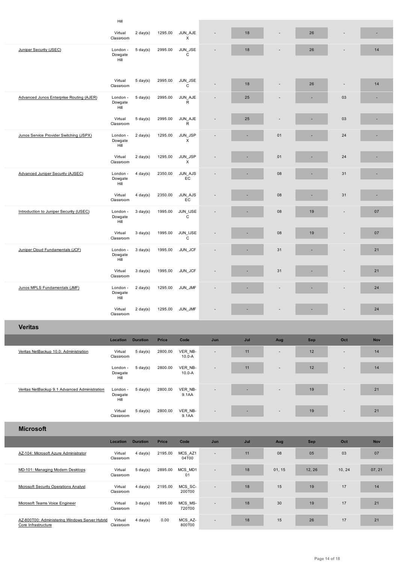|                                               | Classroom                   | z uayio)           |              | ᢋᢅ                      |                                 |     |                          |            |                          |            |
|-----------------------------------------------|-----------------------------|--------------------|--------------|-------------------------|---------------------------------|-----|--------------------------|------------|--------------------------|------------|
| Juniper Security (JSEC)                       | London -<br>Dowgate<br>Hill | $5 \text{ day}(s)$ | 2995.00      | JUN_JSE<br>C            |                                 | 18  | ٠                        | 26         | $\overline{\phantom{a}}$ | 14         |
|                                               |                             |                    |              |                         |                                 |     |                          |            |                          |            |
|                                               | Virtual<br>Classroom        | $5 \text{ day}(s)$ | 2995.00      | JUN_JSE<br>C            |                                 | 18  | ٠                        | 26         | $\blacksquare$           | 14         |
| Advanced Junos Enterprise Routing (AJER)      | London -<br>Dowgate<br>Hill | $5 \text{ day}(s)$ | 2995.00      | JUN_AJE<br>R            |                                 | 25  |                          |            | 03                       |            |
|                                               | Virtual<br>Classroom        | $5 \text{ day}(s)$ | 2995.00      | JUN_AJE<br>R            | $\overline{a}$                  | 25  |                          |            | 03                       |            |
| Junos Service Provider Switching (JSPX)       | London -<br>Dowgate<br>Hill | $2 \text{ day}(s)$ | 1295.00      | JUN_JSP<br>X            |                                 |     | 01                       |            | 24                       |            |
|                                               | Virtual<br>Classroom        | $2 \text{ day}(s)$ | 1295.00      | JUN_JSP<br>X            |                                 |     | 01                       |            | 24                       |            |
| <b>Advanced Juniper Security (AJSEC)</b>      | London -<br>Dowgate<br>Hill | $4$ day(s)         | 2350.00      | JUN_AJS<br>EC           |                                 |     | 08                       |            | 31                       |            |
|                                               | Virtual<br>Classroom        | $4$ day(s)         | 2350.00      | JUN_AJS<br>EC           |                                 |     | 08                       |            | 31                       |            |
| Introduction to Juniper Security (IJSEC)      | London -<br>Dowgate<br>Hill | $3$ day(s)         | 1995.00      | JUN IJSE<br>$\mathbf C$ |                                 |     | 08                       | 19         |                          | 07         |
|                                               | Virtual<br>Classroom        | $3 \text{ day}(s)$ | 1995.00      | JUN_IJSE<br>C           |                                 |     | 08                       | 19         |                          | 07         |
| Juniper Cloud Fundamentals (JCF)              | London -<br>Dowgate<br>Hill | $3$ day(s)         | 1995.00      | JUN_JCF                 |                                 |     | 31                       |            |                          | 21         |
|                                               | Virtual<br>Classroom        | $3 \text{ day}(s)$ | 1995.00      | JUN_JCF                 |                                 |     | 31                       |            |                          | 21         |
| Junos MPLS Fundamentals (JMF)                 | London -<br>Dowgate<br>Hill | $2 \text{ day}(s)$ | 1295.00      | JUN_JMF                 |                                 |     |                          |            |                          | 24         |
|                                               | Virtual<br>Classroom        | $2 \text{ day}(s)$ | 1295.00      | JUN_JMF                 |                                 |     |                          |            |                          | 24         |
| <b>Veritas</b>                                |                             |                    |              |                         |                                 |     |                          |            |                          |            |
|                                               | Location                    | <b>Duration</b>    | <b>Price</b> | Code                    | Jun                             | Jul | Aug                      | <b>Sep</b> | Oct                      | <b>Nov</b> |
| Veritas NetBackup 10.0: Administration        | Virtual<br>Classroom        | $5 \text{ day}(s)$ | 2800.00      | VER_NB-<br>$10.0 - A$   | $\overline{\phantom{a}}$        | 11  | $\overline{\phantom{a}}$ | 12         | $\overline{\phantom{a}}$ | 14         |
|                                               | London -<br>Dowgate<br>Hill | $5 \text{ day}(s)$ | 2800.00      | VER_NB-<br>$10.0 - A$   |                                 | 11  | ٠                        | 12         |                          | 14         |
| Veritas NetBackup 9.1 Advanced Administration | London -<br>Dowgate<br>Hill | $5 \text{ day}(s)$ | 2800.00      | VER_NB-<br>9.1AA        |                                 |     |                          | 19         |                          | 21         |
|                                               | Virtual<br>Classroom        | $5 \text{ day}(s)$ | 2800.00      | VER_NB-<br>9.1AA        | ٠                               |     |                          | 19         |                          | 21         |
| <b>Microsoft</b>                              |                             |                    |              |                         |                                 |     |                          |            |                          |            |
|                                               | Location                    | <b>Duration</b>    | <b>Price</b> | Code                    | Jun                             | Jul | Aug                      | <b>Sep</b> | Oct                      | <b>Nov</b> |
| AZ-104: Microsoft Azure Administrator         | Virtual<br>Classroom        | $4 \text{ day}(s)$ | 2195.00      | MCS_AZ1<br>04T00        | $\overline{a}$                  | 11  | 08                       | 05         | 03                       | 07         |
| MD-101: Managing Modern Desktops              | Virtual<br>Classroom        | $5 \text{ day}(s)$ | 2895.00      | MCS_MD1<br>01           |                                 | 18  | 01, 15                   | 12, 26     | 10, 24                   | 07, 21     |
| <b>Microsoft Security Operations Analyst</b>  | Virtual<br>Classroom        | $4 \text{ day}(s)$ | 2195.00      | MCS_SC-<br>200T00       | $\centering \label{eq:reduced}$ | 18  | 15                       | 19         | 17                       | 14         |
| Microsoft Teams Voice Engineer                | Virtual                     | $3 \text{ day}(s)$ | 1895.00      | MCS_MS-                 | $\overline{\phantom{a}}$        | 18  | 30                       | 19         | 17                       | 21         |
|                                               | Classroom                   |                    |              | 720T00                  |                                 |     |                          |            |                          |            |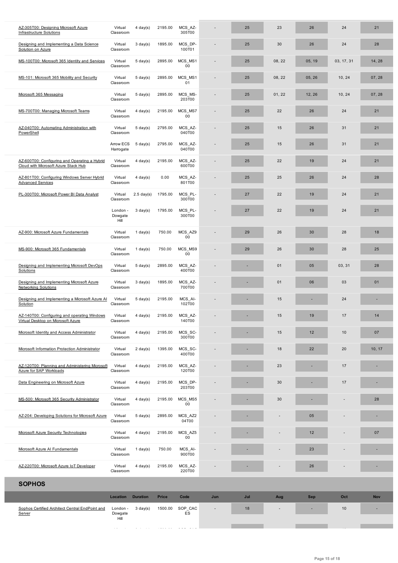| Designing and Implementing a Data Science<br>Solution on Azure                        | Virtual<br>Classroom        | $3 \text{ day}(s)$                 | 1895.00      | MCS DP-<br>100T01 |     | 25  | 30     | 26     | 24         | 28         |
|---------------------------------------------------------------------------------------|-----------------------------|------------------------------------|--------------|-------------------|-----|-----|--------|--------|------------|------------|
| MS-100T00: Microsoft 365 Identity and Services                                        | Virtual<br>Classroom        | $5 \text{ day}(s)$                 | 2895.00      | MCS MS1<br>00     |     | 25  | 08, 22 | 05, 19 | 03, 17, 31 | 14, 28     |
| MS-101: Microsoft 365 Mobility and Security                                           | Virtual<br>Classroom        | $5 \text{ day}(s)$                 | 2895.00      | MCS MS1<br>01     |     | 25  | 08, 22 | 05, 26 | 10, 24     | 07, 28     |
| Microsoft 365 Messaging                                                               | Virtual<br>Classroom        | $5 \text{ day}(s)$                 | 2895.00      | MCS MS-<br>203T00 |     | 25  | 01, 22 | 12, 26 | 10, 24     | 07, 28     |
| MS-700T00: Managing Microsoft Teams                                                   | Virtual<br>Classroom        | $4$ day(s)                         | 2195.00      | MCS MS7<br>00     |     | 25  | 22     | 26     | 24         | 21         |
| AZ-040T00: Automating Administration with<br>PowerShell                               | Virtual<br>Classroom        | $5 \text{ day}(s)$                 | 2795.00      | MCS_AZ-<br>040T00 |     | 25  | 15     | 26     | 31         | 21         |
|                                                                                       | Arrow ECS<br>Harrogate      | $5 \text{ day}(s)$                 | 2795.00      | MCS AZ-<br>040T00 |     | 25  | 15     | 26     | 31         | 21         |
| AZ-600T00: Configuring and Operating a Hybrid<br>Cloud with Microsoft Azure Stack Hub | Virtual<br>Classroom        | $4$ day(s)                         | 2195.00      | MCS_AZ-<br>600T00 |     | 25  | 22     | 19     | 24         | 21         |
| AZ-801T00: Configuring Windows Server Hybrid<br><b>Advanced Services</b>              | Virtual<br>Classroom        | $4$ day(s)                         | 0.00         | MCS AZ-<br>801T00 |     | 25  | 25     | 26     | 24         | 28         |
| PL-300T00: Microsoft Power BI Data Analyst                                            | Virtual<br>Classroom        | $2.5$ day(s)                       | 1795.00      | MCS PL-<br>300T00 |     | 27  | 22     | 19     | 24         | 21         |
|                                                                                       | London -<br>Dowgate<br>Hill | $3 \text{ day}(s)$                 | 1795.00      | MCS PL-<br>300T00 |     | 27  | 22     | 19     | 24         | 21         |
| AZ-900: Microsoft Azure Fundamentals                                                  | Virtual                     | 1 day(s)                           | 750.00       | MCS_AZ9           |     | 29  | 26     | 30     | 28         | 18         |
|                                                                                       | Classroom                   |                                    |              | 00                |     |     |        |        |            |            |
| MS-900: Microsoft 365 Fundamentals                                                    | Virtual<br>Classroom        | $1$ day(s)                         | 750.00       | MCS MS9<br>00     |     | 29  | 26     | 30     | 28         | 25         |
| Designing and Implementing Microsoft DevOps<br>Solutions                              | Virtual<br>Classroom        | $5 \text{ day}(s)$                 | 2895.00      | MCS_AZ-<br>400T00 |     |     | 01     | 05     | 03, 31     | 28         |
| Designing and Implementing Microsoft Azure<br><b>Networking Solutions</b>             | Virtual<br>Classroom        | $3 \text{ day}(s)$                 | 1895.00      | MCS_AZ-<br>700T00 |     |     | 01     | 06     | 03         | 01         |
| Designing and Implementing a Microsoft Azure AI<br>Solution                           | Virtual<br>Classroom        | $5 \text{ day}(s)$                 | 2195.00      | MCS AI-<br>102T00 |     |     | 15     |        | 24         |            |
| AZ-140T00: Configuring and operating Windows<br>Virtual Desktop on Microsoft Azure    | Virtual<br>Classroom        | $4$ day(s)                         | 2195.00      | MCS_AZ-<br>140T00 |     |     | 15     | 19     | 17         | 14         |
| Microsoft Identity and Access Administrator                                           | Virtual<br>Classroom        | 4 day(s)                           | 2195.00      | MCS_SC-<br>300T00 |     |     | 15     | 12     | 10         | 07         |
| Microsoft Information Protection Administrator                                        | Virtual<br>Classroom        | $2 \text{ day}(s)$                 | 1395.00      | MCS_SC-<br>400T00 |     |     | 18     | 22     | 20         | 10, 17     |
| AZ-120T00: Planning and Administering Microsoft<br>Azure for SAP Workloads            | Virtual<br>Classroom        | $4$ day(s)                         | 2195.00      | MCS_AZ-<br>120T00 |     |     | 23     |        | 17         |            |
| Data Engineering on Microsoft Azure                                                   | Virtual<br>Classroom        | $4$ day(s)                         | 2195.00      | MCS_DP-<br>203T00 |     |     | 30     |        | 17         |            |
| MS-500: Microsoft 365 Security Administrator                                          | Virtual<br>Classroom        | $4$ day(s)                         | 2195.00      | MCS_MS5<br>00     |     |     | 30     |        |            | 28         |
| AZ-204: Developing Solutions for Microsoft Azure                                      | Virtual<br>Classroom        | $5 \text{ day}(s)$                 | 2895.00      | MCS_AZ2<br>04T00  |     |     |        | 05     |            | ٠          |
| <b>Microsoft Azure Security Technologies</b>                                          | Virtual<br>Classroom        | $4$ day(s)                         | 2195.00      | MCS AZ5<br>00     |     |     |        | 12     |            | 07         |
| Microsoft Azure AI Fundamentals                                                       | Virtual<br>Classroom        | 1 day(s)                           | 750.00       | MCS AI-<br>900T00 |     |     |        | 23     |            | ۰          |
| AZ-220T00: Microsoft Azure IoT Developer                                              | Virtual<br>Classroom        | $4$ day(s)                         | 2195.00      | MCS_AZ-<br>220T00 |     |     |        | 26     |            |            |
| <b>SOPHOS</b>                                                                         |                             |                                    |              |                   |     |     |        |        |            |            |
|                                                                                       | Location                    | <b>Duration</b>                    | <b>Price</b> | Code              | Jun | Jul | Aug    | Sep    | Oct        | <b>Nov</b> |
| Sophos Certified Architect Central EndPoint and<br>Server                             | London -<br>Dowgate<br>Hill | $3 \text{ day}(s)$                 | 1500.00      | SOP_CAC<br>ES     |     | 18  |        |        | 10         |            |
|                                                                                       | $\sim$ 100 $\sim$           | $\sim$ 100 $\sim$<br>$\sim$ $\sim$ |              |                   |     |     |        |        |            |            |
|                                                                                       |                             |                                    |              |                   |     |     |        |        |            |            |

 $\overline{a}$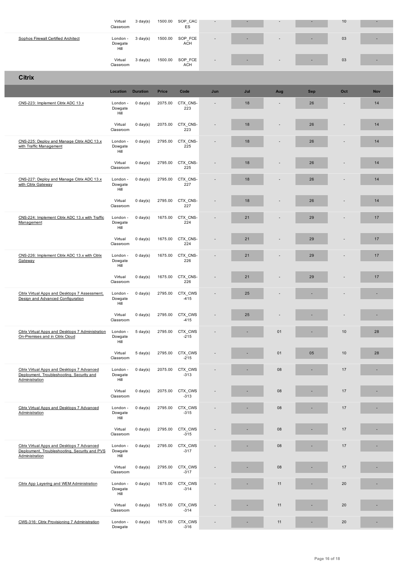| <b>Sophos Firewall Certified Architect</b>                                                                     | London -<br>Dowgate<br>Hill | $3 \text{ day}(s)$ | 1500.00      | SOP_FCE<br><b>ACH</b> |     |     |     |            | 03  |            |
|----------------------------------------------------------------------------------------------------------------|-----------------------------|--------------------|--------------|-----------------------|-----|-----|-----|------------|-----|------------|
|                                                                                                                | Virtual<br>Classroom        | $3 \text{ day}(s)$ | 1500.00      | SOP FCE<br><b>ACH</b> |     | ٠   |     |            | 03  | ×.         |
| <b>Citrix</b>                                                                                                  |                             |                    |              |                       |     |     |     |            |     |            |
|                                                                                                                | Location                    | <b>Duration</b>    | <b>Price</b> | Code                  | Jun | Jul | Aug | <b>Sep</b> | Oct | <b>Nov</b> |
| CNS-223: Implement Citrix ADC 13.x                                                                             | London -<br>Dowgate<br>Hill | $0 \text{ day}(s)$ | 2075.00      | CTX CNS-<br>223       |     | 18  |     | 26         |     | 14         |
|                                                                                                                | Virtual<br>Classroom        | $0 \text{ day}(s)$ | 2075.00      | CTX_CNS-<br>223       |     | 18  |     | 26         |     | 14         |
| CNS-225: Deploy and Manage Citrix ADC 13.x<br>with Traffic Management                                          | London -<br>Dowgate<br>Hill | $0 \text{ day}(s)$ | 2795.00      | CTX CNS-<br>225       |     | 18  |     | 26         |     | 14         |
|                                                                                                                | Virtual<br>Classroom        | $0 \text{ day}(s)$ | 2795.00      | CTX_CNS-<br>225       |     | 18  |     | 26         |     | 14         |
| CNS-227: Deploy and Manage Citrix ADC 13.x<br>with Citrix Gateway                                              | London -<br>Dowgate<br>Hill | $0 \text{ day}(s)$ | 2795.00      | CTX CNS-<br>227       |     | 18  |     | 26         |     | 14         |
|                                                                                                                | Virtual<br>Classroom        | $0 \text{ day}(s)$ | 2795.00      | CTX CNS-<br>227       |     | 18  |     | 26         |     | 14         |
| CNS-224: Implement Citrix ADC 13.x with Traffic<br>Management                                                  | London -<br>Dowgate<br>Hill | $0 \text{ day}(s)$ | 1675.00      | CTX CNS-<br>224       |     | 21  |     | 29         |     | 17         |
|                                                                                                                | Virtual<br>Classroom        | $0 \text{ day}(s)$ | 1675.00      | CTX_CNS-<br>224       |     | 21  |     | 29         |     | 17         |
| CNS-226: Implement Citrix ADC 13.x with Citrix<br>Gateway                                                      | London -<br>Dowgate<br>Hill | $0 \text{ day}(s)$ | 1675.00      | CTX_CNS-<br>226       |     | 21  |     | 29         |     | 17         |
|                                                                                                                | Virtual<br>Classroom        | $0 \text{ day}(s)$ | 1675.00      | CTX_CNS-<br>226       |     | 21  |     | 29         |     | 17         |
| Citrix Virtual Apps and Desktops 7 Assessment,<br>Design and Advanced Configuration                            | London -<br>Dowgate<br>Hill | $0 \text{ day}(s)$ | 2795.00      | CTX CWS<br>$-415$     |     | 25  |     |            |     |            |
|                                                                                                                | Virtual<br>Classroom        | $0 \text{ day}(s)$ | 2795.00      | CTX_CWS<br>$-415$     |     | 25  |     |            |     |            |
| Citrix Virtual Apps and Desktops 7 Administration<br>On-Premises and in Citrix Cloud                           | London -<br>Dowgate<br>Hill | $5 \text{ day}(s)$ | 2795.00      | CTX CWS<br>$-215$     |     |     | 01  |            | 10  | 28         |
|                                                                                                                | Virtual<br>Classroom        | $5 \text{ day}(s)$ | 2795.00      | CTX_CWS<br>$-215$     |     |     | 01  | 05         | 10  | 28         |
| Citrix Virtual Apps and Desktops 7 Advanced<br>Deployment, Troubleshooting, Security and<br>Administration     | London -<br>Dowgate<br>Hill | $0 \text{ day}(s)$ | 2075.00      | CTX CWS<br>$-313$     |     |     | 08  |            | 17  | Ē.         |
|                                                                                                                | Virtual<br>Classroom        | $0 \text{ day}(s)$ | 2075.00      | CTX_CWS<br>$-313$     |     |     | 08  |            | 17  |            |
| Citrix Virtual Apps and Desktops 7 Advanced<br>Administration                                                  | London -<br>Dowgate<br>Hill | $0 \text{ day}(s)$ | 2795.00      | CTX CWS<br>$-315$     |     |     | 08  |            | 17  | ×,         |
|                                                                                                                | Virtual<br>Classroom        | $0 \text{ day}(s)$ | 2795.00      | CTX_CWS<br>$-315$     |     |     | 08  |            | 17  |            |
| Citrix Virtual Apps and Desktops 7 Advanced<br>Deployment, Troubleshooting, Security and PVS<br>Administration | London -<br>Dowgate<br>Hill | $0 \text{ day}(s)$ | 2795.00      | CTX_CWS<br>$-317$     |     |     | 08  |            | 17  |            |
|                                                                                                                | Virtual<br>Classroom        | $0 \text{ day}(s)$ | 2795.00      | CTX_CWS<br>$-317$     |     |     | 08  |            | 17  |            |
| Citrix App Layering and WEM Administration                                                                     | London -<br>Dowgate<br>Hill | $0 \text{ day}(s)$ | 1675.00      | CTX_CWS<br>$-314$     |     |     | 11  |            | 20  | E.         |
|                                                                                                                | Virtual<br>Classroom        | $0 \text{ day}(s)$ | 1675.00      | CTX CWS<br>$-314$     |     |     | 11  |            | 20  | ×.         |
| CWS-316: Citrix Provisioning 7 Administration                                                                  | London -<br>Dowgate         | $0 \text{ day}(s)$ | 1675.00      | CTX_CWS<br>$-316$     |     | ٠   | 11  |            | 20  | ٠          |

Ī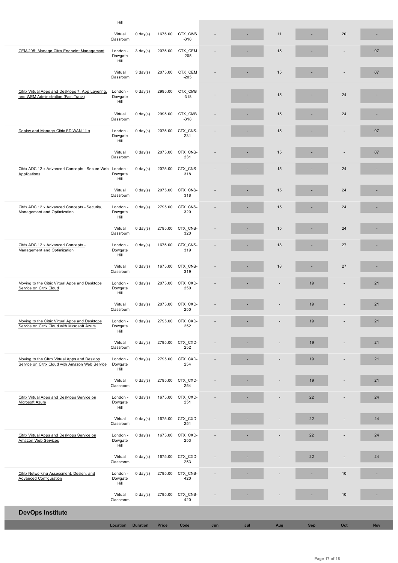|                                                                                                  | Virtual                              | U day(s)           |              | 16/5.00 CIX CWS   |     |     | 11  |            | 20   |            |
|--------------------------------------------------------------------------------------------------|--------------------------------------|--------------------|--------------|-------------------|-----|-----|-----|------------|------|------------|
|                                                                                                  | Classroom                            |                    |              | $-316$            |     |     |     |            |      |            |
| CEM-205: Manage Citrix Endpoint Management                                                       | London -<br>Dowgate<br>Hill          | $3 \text{ day}(s)$ | 2075.00      | CTX CEM<br>$-205$ |     |     | 15  |            |      | 07         |
|                                                                                                  | Virtual<br>Classroom                 | $3 \text{ day}(s)$ | 2075.00      | CTX CEM<br>$-205$ |     |     | 15  |            |      | 07         |
| Citrix Virtual Apps and Desktops 7, App Layering,<br>and WEM Administration (Fast-Track)         | London -<br>Dowgate<br>Hill          | $0 \text{ day}(s)$ | 2995.00      | CTX CMB<br>$-318$ |     |     | 15  |            | 24   |            |
|                                                                                                  | Virtual<br>Classroom                 | $0 \text{ day}(s)$ | 2995.00      | CTX CMB<br>$-318$ |     |     | 15  |            | 24   | ٠          |
| Deploy and Manage Citrix SD-WAN 11.x                                                             | London -<br>Dowgate<br>Hill          | $0 \text{ day}(s)$ | 2075.00      | CTX CNS-<br>231   |     |     | 15  |            |      | 07         |
|                                                                                                  | Virtual<br>Classroom                 | $0 \text{ day}(s)$ | 2075.00      | CTX CNS-<br>231   |     |     | 15  |            |      | 07         |
| Citrix ADC 12.x Advanced Concepts - Secure Web<br>Applications                                   | London -<br>Dowgate<br>Hill          | $0 \text{ day}(s)$ | 2075.00      | CTX CNS-<br>318   |     |     | 15  |            | 24   |            |
|                                                                                                  | Virtual<br>Classroom                 | $0 \text{ day}(s)$ | 2075.00      | CTX CNS-<br>318   |     |     | 15  |            | 24   |            |
| Citrix ADC 12.x Advanced Concepts - Security,<br>Management and Optimization                     | London -<br>Dowgate<br>Hill          | $0 \text{ day}(s)$ | 2795.00      | CTX CNS-<br>320   |     |     | 15  |            | 24   | ٠          |
|                                                                                                  | Virtual<br>Classroom                 | $0 \text{ day}(s)$ | 2795.00      | CTX CNS-<br>320   |     |     | 15  |            | 24   |            |
| Citrix ADC 12.x Advanced Concepts -<br>Management and Optimization                               | London -<br>Dowgate<br>Hill          | $0 \text{ day}(s)$ | 1675.00      | CTX_CNS-<br>319   |     |     | 18  |            | 27   |            |
|                                                                                                  | Virtual<br>Classroom                 | $0 \text{ day}(s)$ | 1675.00      | CTX CNS-<br>319   |     |     | 18  |            | 27   |            |
| Moving to the Citrix Virtual Apps and Desktops<br>Service on Citrix Cloud                        | London -<br>Dowgate<br>Hill          | $0 \text{ day}(s)$ | 2075.00      | CTX CXD-<br>250   |     |     |     | 19         |      | 21         |
|                                                                                                  | Virtual<br>Classroom                 | $0 \text{ day}(s)$ | 2075.00      | CTX CXD-<br>250   |     |     |     | 19         |      | 21         |
| Moving to the Citrix Virtual Apps and Desktops<br>Service on Citrix Cloud with Microsoft Azure   | London - 0 day(s)<br>Dowgate<br>Hill |                    | 2795.00      | CTX CXD-<br>252   |     |     |     | 19         |      | 21         |
|                                                                                                  | Virtual<br>Classroom                 | $0 \text{ day}(s)$ | 2795.00      | CTX_CXD-<br>252   |     |     |     | 19         |      | 21         |
| Moving to the Cltrix Virtual Apps and Desktop<br>Service on Citrix Cloud with Amazon Web Service | London -<br>Dowgate<br>Hill          | $0 \text{ day}(s)$ | 2795.00      | CTX_CXD-<br>254   |     |     |     | 19         |      | 21         |
|                                                                                                  | Virtual<br>Classroom                 | $0 \text{ day}(s)$ | 2795.00      | CTX_CXD-<br>254   |     |     |     | 19         |      | 21         |
| Citrix Virtual Apps and Desktops Service on<br>Microsoft Azure                                   | London -<br>Dowgate<br>Hill          | $0 \text{ day}(s)$ | 1675.00      | CTX_CXD-<br>251   |     |     |     | 22         |      | 24         |
|                                                                                                  | Virtual<br>Classroom                 | $0 \text{ day}(s)$ | 1675.00      | CTX_CXD-<br>251   |     |     |     | 22         |      | 24         |
| Citrix Virtual Apps and Desktops Service on<br><b>Amazon Web Services</b>                        | London -<br>Dowgate<br>Hill          | $0 \text{ day}(s)$ | 1675.00      | CTX_CXD-<br>253   |     |     |     | 22         |      | 24         |
|                                                                                                  | Virtual<br>Classroom                 | $0 \text{ day}(s)$ | 1675.00      | CTX_CXD-<br>253   |     |     |     | 22         |      | 24         |
| Citrix Networking Assessment, Design, and<br><b>Advanced Configuration</b>                       | London -<br>Dowgate<br>Hill          | $0 \text{ day}(s)$ | 2795.00      | CTX_CNS-<br>420   |     |     |     |            | $10$ | ×,         |
|                                                                                                  | Virtual<br>Classroom                 | $5 \text{ day}(s)$ | 2795.00      | CTX_CNS-<br>420   |     |     |     |            | 10   |            |
| <b>DevOps Institute</b>                                                                          |                                      |                    |              |                   |     |     |     |            |      |            |
|                                                                                                  | Location                             | <b>Duration</b>    | <b>Price</b> | Code              | Jun | Jul | Aug | <b>Sep</b> | Oct  | <b>Nov</b> |
|                                                                                                  |                                      |                    |              |                   |     |     |     |            |      |            |